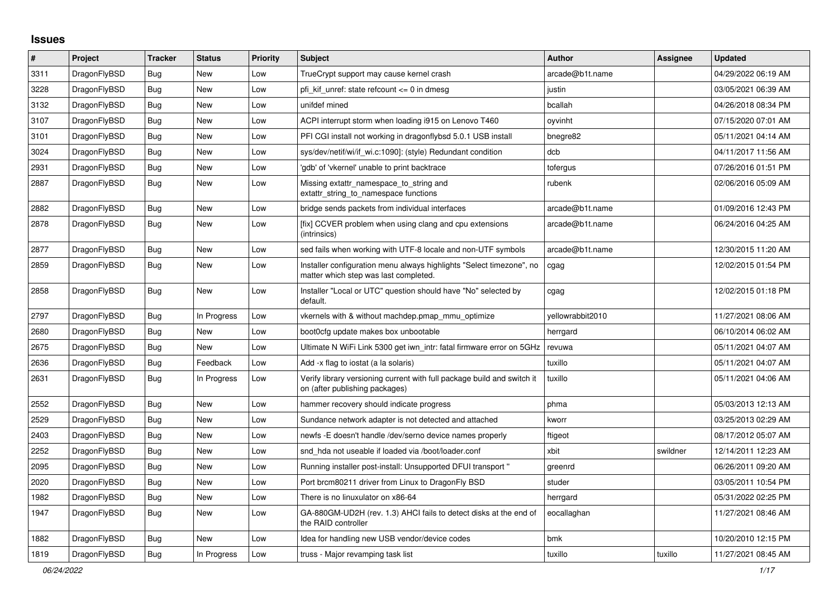## **Issues**

| $\#$ | Project      | <b>Tracker</b> | <b>Status</b> | <b>Priority</b> | <b>Subject</b>                                                                                                | <b>Author</b>    | Assignee | <b>Updated</b>      |
|------|--------------|----------------|---------------|-----------------|---------------------------------------------------------------------------------------------------------------|------------------|----------|---------------------|
| 3311 | DragonFlyBSD | <b>Bug</b>     | New           | Low             | TrueCrypt support may cause kernel crash                                                                      | arcade@b1t.name  |          | 04/29/2022 06:19 AM |
| 3228 | DragonFlyBSD | Bug            | New           | Low             | pfi kif unref: state refcount <= 0 in dmesg                                                                   | justin           |          | 03/05/2021 06:39 AM |
| 3132 | DragonFlyBSD | Bug            | New           | Low             | unifdef mined                                                                                                 | bcallah          |          | 04/26/2018 08:34 PM |
| 3107 | DragonFlyBSD | Bug            | <b>New</b>    | Low             | ACPI interrupt storm when loading i915 on Lenovo T460                                                         | oyvinht          |          | 07/15/2020 07:01 AM |
| 3101 | DragonFlyBSD | <b>Bug</b>     | <b>New</b>    | Low             | PFI CGI install not working in dragonflybsd 5.0.1 USB install                                                 | bnegre82         |          | 05/11/2021 04:14 AM |
| 3024 | DragonFlyBSD | Bug            | New           | Low             | sys/dev/netif/wi/if_wi.c:1090]: (style) Redundant condition                                                   | dcb              |          | 04/11/2017 11:56 AM |
| 2931 | DragonFlyBSD | Bug            | New           | Low             | 'gdb' of 'vkernel' unable to print backtrace                                                                  | tofergus         |          | 07/26/2016 01:51 PM |
| 2887 | DragonFlyBSD | Bug            | New           | Low             | Missing extattr namespace to string and<br>extattr_string_to_namespace functions                              | rubenk           |          | 02/06/2016 05:09 AM |
| 2882 | DragonFlyBSD | Bug            | New           | Low             | bridge sends packets from individual interfaces                                                               | arcade@b1t.name  |          | 01/09/2016 12:43 PM |
| 2878 | DragonFlyBSD | Bug            | New           | Low             | [fix] CCVER problem when using clang and cpu extensions<br>(intrinsics)                                       | arcade@b1t.name  |          | 06/24/2016 04:25 AM |
| 2877 | DragonFlyBSD | <b>Bug</b>     | New           | Low             | sed fails when working with UTF-8 locale and non-UTF symbols                                                  | arcade@b1t.name  |          | 12/30/2015 11:20 AM |
| 2859 | DragonFlyBSD | Bug            | New           | Low             | Installer configuration menu always highlights "Select timezone", no<br>matter which step was last completed. | cgag             |          | 12/02/2015 01:54 PM |
| 2858 | DragonFlyBSD | <b>Bug</b>     | New           | Low             | Installer "Local or UTC" question should have "No" selected by<br>default.                                    | cgag             |          | 12/02/2015 01:18 PM |
| 2797 | DragonFlyBSD | Bug            | In Progress   | Low             | vkernels with & without machdep.pmap_mmu_optimize                                                             | yellowrabbit2010 |          | 11/27/2021 08:06 AM |
| 2680 | DragonFlyBSD | Bug            | New           | Low             | boot0cfg update makes box unbootable                                                                          | herrgard         |          | 06/10/2014 06:02 AM |
| 2675 | DragonFlyBSD | Bug            | <b>New</b>    | Low             | Ultimate N WiFi Link 5300 get iwn intr: fatal firmware error on 5GHz                                          | revuwa           |          | 05/11/2021 04:07 AM |
| 2636 | DragonFlyBSD | <b>Bug</b>     | Feedback      | Low             | Add -x flag to iostat (a la solaris)                                                                          | tuxillo          |          | 05/11/2021 04:07 AM |
| 2631 | DragonFlyBSD | Bug            | In Progress   | Low             | Verify library versioning current with full package build and switch it<br>on (after publishing packages)     | tuxillo          |          | 05/11/2021 04:06 AM |
| 2552 | DragonFlyBSD | Bug            | <b>New</b>    | Low             | hammer recovery should indicate progress                                                                      | phma             |          | 05/03/2013 12:13 AM |
| 2529 | DragonFlyBSD | Bug            | New           | Low             | Sundance network adapter is not detected and attached                                                         | kworr            |          | 03/25/2013 02:29 AM |
| 2403 | DragonFlyBSD | Bug            | New           | Low             | newfs -E doesn't handle /dev/serno device names properly                                                      | ftigeot          |          | 08/17/2012 05:07 AM |
| 2252 | DragonFlyBSD | Bug            | New           | Low             | snd hda not useable if loaded via /boot/loader.conf                                                           | xbit             | swildner | 12/14/2011 12:23 AM |
| 2095 | DragonFlyBSD | Bug            | New           | Low             | Running installer post-install: Unsupported DFUI transport"                                                   | greenrd          |          | 06/26/2011 09:20 AM |
| 2020 | DragonFlyBSD | Bug            | <b>New</b>    | Low             | Port brcm80211 driver from Linux to DragonFly BSD                                                             | studer           |          | 03/05/2011 10:54 PM |
| 1982 | DragonFlyBSD | Bug            | <b>New</b>    | Low             | There is no linuxulator on x86-64                                                                             | herrgard         |          | 05/31/2022 02:25 PM |
| 1947 | DragonFlyBSD | Bug            | New           | Low             | GA-880GM-UD2H (rev. 1.3) AHCI fails to detect disks at the end of<br>the RAID controller                      | eocallaghan      |          | 11/27/2021 08:46 AM |
| 1882 | DragonFlyBSD | <b>Bug</b>     | <b>New</b>    | Low             | Idea for handling new USB vendor/device codes                                                                 | bmk              |          | 10/20/2010 12:15 PM |
| 1819 | DragonFlyBSD | <b>Bug</b>     | In Progress   | Low             | truss - Major revamping task list                                                                             | tuxillo          | tuxillo  | 11/27/2021 08:45 AM |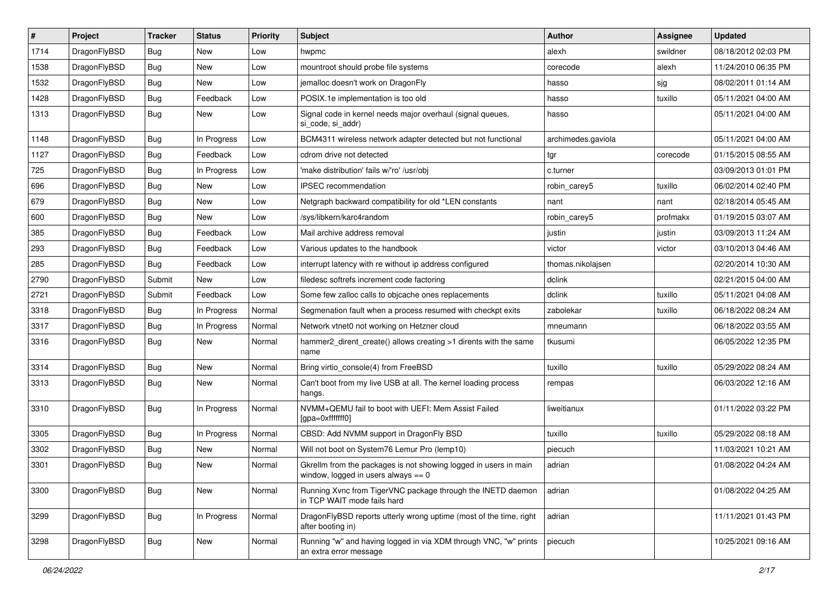| $\vert$ # | Project      | <b>Tracker</b> | <b>Status</b> | <b>Priority</b> | Subject                                                                                                   | <b>Author</b>      | <b>Assignee</b> | <b>Updated</b>      |
|-----------|--------------|----------------|---------------|-----------------|-----------------------------------------------------------------------------------------------------------|--------------------|-----------------|---------------------|
| 1714      | DragonFlyBSD | Bug            | New           | Low             | hwpmc                                                                                                     | alexh              | swildner        | 08/18/2012 02:03 PM |
| 1538      | DragonFlyBSD | <b>Bug</b>     | New           | Low             | mountroot should probe file systems                                                                       | corecode           | alexh           | 11/24/2010 06:35 PM |
| 1532      | DragonFlyBSD | <b>Bug</b>     | New           | Low             | jemalloc doesn't work on DragonFly                                                                        | hasso              | sjg             | 08/02/2011 01:14 AM |
| 1428      | DragonFlyBSD | Bug            | Feedback      | Low             | POSIX.1e implementation is too old                                                                        | hasso              | tuxillo         | 05/11/2021 04:00 AM |
| 1313      | DragonFlyBSD | Bug            | New           | Low             | Signal code in kernel needs major overhaul (signal queues,<br>si code, si addr)                           | hasso              |                 | 05/11/2021 04:00 AM |
| 1148      | DragonFlyBSD | Bug            | In Progress   | Low             | BCM4311 wireless network adapter detected but not functional                                              | archimedes.gaviola |                 | 05/11/2021 04:00 AM |
| 1127      | DragonFlyBSD | Bug            | Feedback      | Low             | cdrom drive not detected                                                                                  | tgr                | corecode        | 01/15/2015 08:55 AM |
| 725       | DragonFlyBSD | <b>Bug</b>     | In Progress   | Low             | 'make distribution' fails w/'ro' /usr/obj                                                                 | c.turner           |                 | 03/09/2013 01:01 PM |
| 696       | DragonFlyBSD | Bug            | New           | Low             | <b>IPSEC</b> recommendation                                                                               | robin carey5       | tuxillo         | 06/02/2014 02:40 PM |
| 679       | DragonFlyBSD | <b>Bug</b>     | New           | Low             | Netgraph backward compatibility for old *LEN constants                                                    | nant               | nant            | 02/18/2014 05:45 AM |
| 600       | DragonFlyBSD | Bug            | New           | Low             | /sys/libkern/karc4random                                                                                  | robin carey5       | profmakx        | 01/19/2015 03:07 AM |
| 385       | DragonFlyBSD | Bug            | Feedback      | Low             | Mail archive address removal                                                                              | justin             | justin          | 03/09/2013 11:24 AM |
| 293       | DragonFlyBSD | Bug            | Feedback      | Low             | Various updates to the handbook                                                                           | victor             | victor          | 03/10/2013 04:46 AM |
| 285       | DragonFlyBSD | Bug            | Feedback      | Low             | interrupt latency with re without ip address configured                                                   | thomas.nikolajsen  |                 | 02/20/2014 10:30 AM |
| 2790      | DragonFlyBSD | Submit         | <b>New</b>    | Low             | filedesc softrefs increment code factoring                                                                | dclink             |                 | 02/21/2015 04:00 AM |
| 2721      | DragonFlyBSD | Submit         | Feedback      | Low             | Some few zalloc calls to objcache ones replacements                                                       | dclink             | tuxillo         | 05/11/2021 04:08 AM |
| 3318      | DragonFlyBSD | Bug            | In Progress   | Normal          | Segmenation fault when a process resumed with checkpt exits                                               | zabolekar          | tuxillo         | 06/18/2022 08:24 AM |
| 3317      | DragonFlyBSD | Bug            | In Progress   | Normal          | Network vtnet0 not working on Hetzner cloud                                                               | mneumann           |                 | 06/18/2022 03:55 AM |
| 3316      | DragonFlyBSD | <b>Bug</b>     | New           | Normal          | hammer2_dirent_create() allows creating >1 dirents with the same<br>name                                  | tkusumi            |                 | 06/05/2022 12:35 PM |
| 3314      | DragonFlyBSD | Bug            | New           | Normal          | Bring virtio_console(4) from FreeBSD                                                                      | tuxillo            | tuxillo         | 05/29/2022 08:24 AM |
| 3313      | DragonFlyBSD | Bug            | New           | Normal          | Can't boot from my live USB at all. The kernel loading process<br>hangs.                                  | rempas             |                 | 06/03/2022 12:16 AM |
| 3310      | DragonFlyBSD | Bug            | In Progress   | Normal          | NVMM+QEMU fail to boot with UEFI: Mem Assist Failed<br>[gpa=0xfffffff0]                                   | liweitianux        |                 | 01/11/2022 03:22 PM |
| 3305      | DragonFlyBSD | Bug            | In Progress   | Normal          | CBSD: Add NVMM support in DragonFly BSD                                                                   | tuxillo            | tuxillo         | 05/29/2022 08:18 AM |
| 3302      | DragonFlyBSD | Bug            | New           | Normal          | Will not boot on System76 Lemur Pro (lemp10)                                                              | piecuch            |                 | 11/03/2021 10:21 AM |
| 3301      | DragonFlyBSD | <b>Bug</b>     | New           | Normal          | Gkrellm from the packages is not showing logged in users in main<br>window, logged in users always $== 0$ | adrian             |                 | 01/08/2022 04:24 AM |
| 3300      | DragonFlyBSD | <b>Bug</b>     | New           | Normal          | Running Xvnc from TigerVNC package through the INETD daemon<br>in TCP WAIT mode fails hard                | adrian             |                 | 01/08/2022 04:25 AM |
| 3299      | DragonFlyBSD | Bug            | In Progress   | Normal          | DragonFlyBSD reports utterly wrong uptime (most of the time, right<br>after booting in)                   | adrian             |                 | 11/11/2021 01:43 PM |
| 3298      | DragonFlyBSD | Bug            | New           | Normal          | Running "w" and having logged in via XDM through VNC, "w" prints<br>an extra error message                | piecuch            |                 | 10/25/2021 09:16 AM |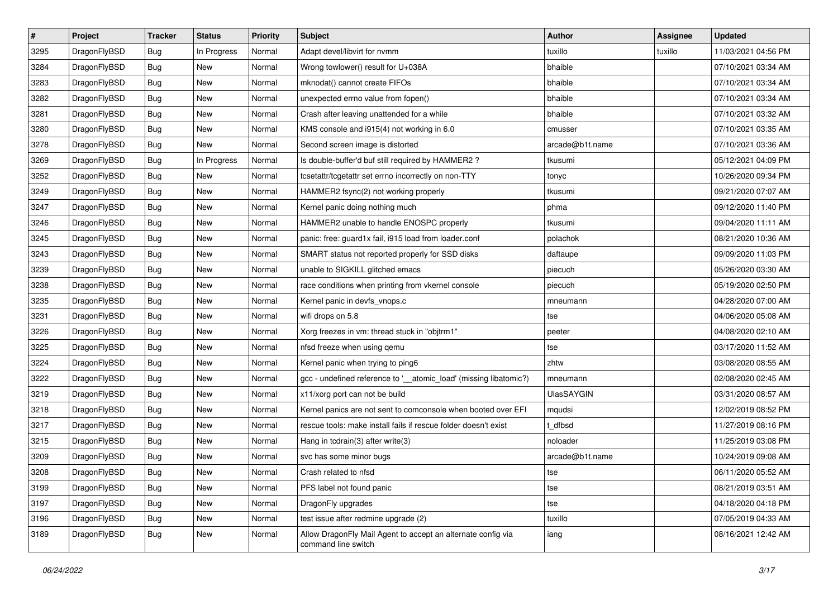| $\sharp$ | Project      | <b>Tracker</b> | <b>Status</b> | <b>Priority</b> | Subject                                                                             | <b>Author</b>   | <b>Assignee</b> | <b>Updated</b>      |
|----------|--------------|----------------|---------------|-----------------|-------------------------------------------------------------------------------------|-----------------|-----------------|---------------------|
| 3295     | DragonFlyBSD | Bug            | In Progress   | Normal          | Adapt devel/libvirt for nvmm                                                        | tuxillo         | tuxillo         | 11/03/2021 04:56 PM |
| 3284     | DragonFlyBSD | Bug            | <b>New</b>    | Normal          | Wrong towlower() result for U+038A                                                  | bhaible         |                 | 07/10/2021 03:34 AM |
| 3283     | DragonFlyBSD | Bug            | New           | Normal          | mknodat() cannot create FIFOs                                                       | bhaible         |                 | 07/10/2021 03:34 AM |
| 3282     | DragonFlyBSD | <b>Bug</b>     | New           | Normal          | unexpected errno value from fopen()                                                 | bhaible         |                 | 07/10/2021 03:34 AM |
| 3281     | DragonFlyBSD | Bug            | <b>New</b>    | Normal          | Crash after leaving unattended for a while                                          | bhaible         |                 | 07/10/2021 03:32 AM |
| 3280     | DragonFlyBSD | <b>Bug</b>     | <b>New</b>    | Normal          | KMS console and i915(4) not working in 6.0                                          | cmusser         |                 | 07/10/2021 03:35 AM |
| 3278     | DragonFlyBSD | <b>Bug</b>     | <b>New</b>    | Normal          | Second screen image is distorted                                                    | arcade@b1t.name |                 | 07/10/2021 03:36 AM |
| 3269     | DragonFlyBSD | Bug            | In Progress   | Normal          | Is double-buffer'd buf still required by HAMMER2 ?                                  | tkusumi         |                 | 05/12/2021 04:09 PM |
| 3252     | DragonFlyBSD | <b>Bug</b>     | New           | Normal          | tcsetattr/tcgetattr set errno incorrectly on non-TTY                                | tonyc           |                 | 10/26/2020 09:34 PM |
| 3249     | DragonFlyBSD | Bug            | <b>New</b>    | Normal          | HAMMER2 fsync(2) not working properly                                               | tkusumi         |                 | 09/21/2020 07:07 AM |
| 3247     | DragonFlyBSD | <b>Bug</b>     | <b>New</b>    | Normal          | Kernel panic doing nothing much                                                     | phma            |                 | 09/12/2020 11:40 PM |
| 3246     | DragonFlyBSD | Bug            | New           | Normal          | HAMMER2 unable to handle ENOSPC properly                                            | tkusumi         |                 | 09/04/2020 11:11 AM |
| 3245     | DragonFlyBSD | <b>Bug</b>     | <b>New</b>    | Normal          | panic: free: guard1x fail, i915 load from loader.conf                               | polachok        |                 | 08/21/2020 10:36 AM |
| 3243     | DragonFlyBSD | <b>Bug</b>     | <b>New</b>    | Normal          | SMART status not reported properly for SSD disks                                    | daftaupe        |                 | 09/09/2020 11:03 PM |
| 3239     | DragonFlyBSD | Bug            | <b>New</b>    | Normal          | unable to SIGKILL glitched emacs                                                    | piecuch         |                 | 05/26/2020 03:30 AM |
| 3238     | DragonFlyBSD | Bug            | New           | Normal          | race conditions when printing from vkernel console                                  | piecuch         |                 | 05/19/2020 02:50 PM |
| 3235     | DragonFlyBSD | <b>Bug</b>     | <b>New</b>    | Normal          | Kernel panic in devfs_vnops.c                                                       | mneumann        |                 | 04/28/2020 07:00 AM |
| 3231     | DragonFlyBSD | Bug            | <b>New</b>    | Normal          | wifi drops on 5.8                                                                   | tse             |                 | 04/06/2020 05:08 AM |
| 3226     | DragonFlyBSD | <b>Bug</b>     | <b>New</b>    | Normal          | Xorg freezes in vm: thread stuck in "objtrm1"                                       | peeter          |                 | 04/08/2020 02:10 AM |
| 3225     | DragonFlyBSD | <b>Bug</b>     | <b>New</b>    | Normal          | nfsd freeze when using qemu                                                         | tse             |                 | 03/17/2020 11:52 AM |
| 3224     | DragonFlyBSD | Bug            | New           | Normal          | Kernel panic when trying to ping6                                                   | zhtw            |                 | 03/08/2020 08:55 AM |
| 3222     | DragonFlyBSD | <b>Bug</b>     | <b>New</b>    | Normal          | gcc - undefined reference to '__atomic_load' (missing libatomic?)                   | mneumann        |                 | 02/08/2020 02:45 AM |
| 3219     | DragonFlyBSD | Bug            | <b>New</b>    | Normal          | x11/xorg port can not be build                                                      | UlasSAYGIN      |                 | 03/31/2020 08:57 AM |
| 3218     | DragonFlyBSD | <b>Bug</b>     | New           | Normal          | Kernel panics are not sent to comconsole when booted over EFI                       | mqudsi          |                 | 12/02/2019 08:52 PM |
| 3217     | DragonFlyBSD | <b>Bug</b>     | New           | Normal          | rescue tools: make install fails if rescue folder doesn't exist                     | t dfbsd         |                 | 11/27/2019 08:16 PM |
| 3215     | DragonFlyBSD | Bug            | <b>New</b>    | Normal          | Hang in tcdrain(3) after write(3)                                                   | noloader        |                 | 11/25/2019 03:08 PM |
| 3209     | DragonFlyBSD | <b>Bug</b>     | <b>New</b>    | Normal          | svc has some minor bugs                                                             | arcade@b1t.name |                 | 10/24/2019 09:08 AM |
| 3208     | DragonFlyBSD | <b>Bug</b>     | New           | Normal          | Crash related to nfsd                                                               | tse             |                 | 06/11/2020 05:52 AM |
| 3199     | DragonFlyBSD | Bug            | New           | Normal          | PFS label not found panic                                                           | tse             |                 | 08/21/2019 03:51 AM |
| 3197     | DragonFlyBSD | <b>Bug</b>     | New           | Normal          | DragonFly upgrades                                                                  | tse             |                 | 04/18/2020 04:18 PM |
| 3196     | DragonFlyBSD | Bug            | New           | Normal          | test issue after redmine upgrade (2)                                                | tuxillo         |                 | 07/05/2019 04:33 AM |
| 3189     | DragonFlyBSD | <b>Bug</b>     | New           | Normal          | Allow DragonFly Mail Agent to accept an alternate config via<br>command line switch | iang            |                 | 08/16/2021 12:42 AM |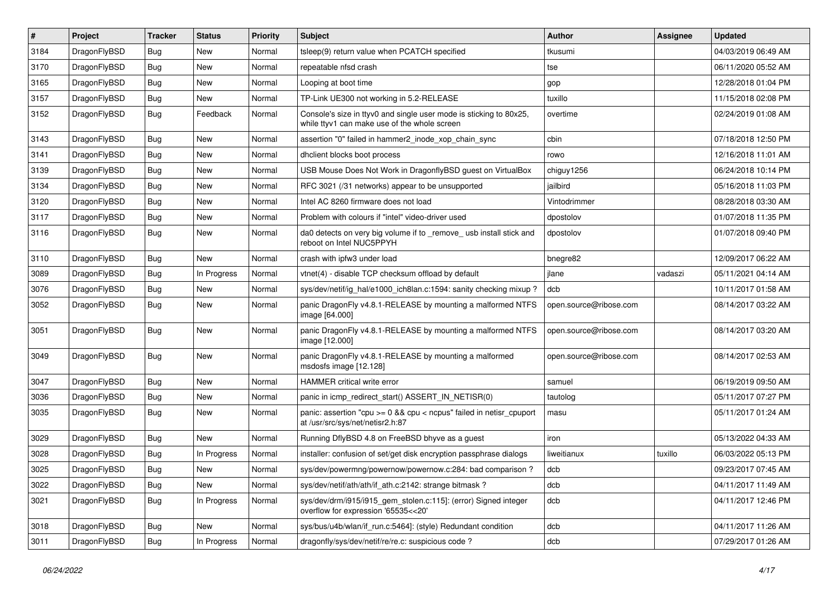| $\vert$ # | Project      | <b>Tracker</b> | <b>Status</b> | <b>Priority</b> | <b>Subject</b>                                                                                                     | Author                 | Assignee | <b>Updated</b>      |
|-----------|--------------|----------------|---------------|-----------------|--------------------------------------------------------------------------------------------------------------------|------------------------|----------|---------------------|
| 3184      | DragonFlyBSD | Bug            | <b>New</b>    | Normal          | tsleep(9) return value when PCATCH specified                                                                       | tkusumi                |          | 04/03/2019 06:49 AM |
| 3170      | DragonFlyBSD | <b>Bug</b>     | <b>New</b>    | Normal          | repeatable nfsd crash                                                                                              | tse                    |          | 06/11/2020 05:52 AM |
| 3165      | DragonFlyBSD | <b>Bug</b>     | <b>New</b>    | Normal          | Looping at boot time                                                                                               | gop                    |          | 12/28/2018 01:04 PM |
| 3157      | DragonFlyBSD | Bug            | <b>New</b>    | Normal          | TP-Link UE300 not working in 5.2-RELEASE                                                                           | tuxillo                |          | 11/15/2018 02:08 PM |
| 3152      | DragonFlyBSD | Bug            | Feedback      | Normal          | Console's size in ttyv0 and single user mode is sticking to 80x25,<br>while ttyv1 can make use of the whole screen | overtime               |          | 02/24/2019 01:08 AM |
| 3143      | DragonFlyBSD | Bug            | <b>New</b>    | Normal          | assertion "0" failed in hammer2_inode_xop_chain_sync                                                               | cbin                   |          | 07/18/2018 12:50 PM |
| 3141      | DragonFlyBSD | Bug            | <b>New</b>    | Normal          | dhclient blocks boot process                                                                                       | rowo                   |          | 12/16/2018 11:01 AM |
| 3139      | DragonFlyBSD | Bug            | <b>New</b>    | Normal          | USB Mouse Does Not Work in DragonflyBSD guest on VirtualBox                                                        | chiguy1256             |          | 06/24/2018 10:14 PM |
| 3134      | DragonFlyBSD | Bug            | New           | Normal          | RFC 3021 (/31 networks) appear to be unsupported                                                                   | jailbird               |          | 05/16/2018 11:03 PM |
| 3120      | DragonFlyBSD | Bug            | <b>New</b>    | Normal          | Intel AC 8260 firmware does not load                                                                               | Vintodrimmer           |          | 08/28/2018 03:30 AM |
| 3117      | DragonFlyBSD | Bug            | <b>New</b>    | Normal          | Problem with colours if "intel" video-driver used                                                                  | dpostolov              |          | 01/07/2018 11:35 PM |
| 3116      | DragonFlyBSD | Bug            | New           | Normal          | da0 detects on very big volume if to _remove_ usb install stick and<br>reboot on Intel NUC5PPYH                    | dpostolov              |          | 01/07/2018 09:40 PM |
| 3110      | DragonFlyBSD | Bug            | <b>New</b>    | Normal          | crash with ipfw3 under load                                                                                        | bnegre82               |          | 12/09/2017 06:22 AM |
| 3089      | DragonFlyBSD | Bug            | In Progress   | Normal          | vtnet(4) - disable TCP checksum offload by default                                                                 | jlane                  | vadaszi  | 05/11/2021 04:14 AM |
| 3076      | DragonFlyBSD | <b>Bug</b>     | <b>New</b>    | Normal          | sys/dev/netif/ig hal/e1000 ich8lan.c:1594: sanity checking mixup?                                                  | dcb                    |          | 10/11/2017 01:58 AM |
| 3052      | DragonFlyBSD | Bug            | New           | Normal          | panic DragonFly v4.8.1-RELEASE by mounting a malformed NTFS<br>image [64.000]                                      | open.source@ribose.com |          | 08/14/2017 03:22 AM |
| 3051      | DragonFlyBSD | Bug            | <b>New</b>    | Normal          | panic DragonFly v4.8.1-RELEASE by mounting a malformed NTFS<br>image [12.000]                                      | open.source@ribose.com |          | 08/14/2017 03:20 AM |
| 3049      | DragonFlyBSD | Bug            | <b>New</b>    | Normal          | panic DragonFly v4.8.1-RELEASE by mounting a malformed<br>msdosfs image [12.128]                                   | open.source@ribose.com |          | 08/14/2017 02:53 AM |
| 3047      | DragonFlyBSD | Bug            | <b>New</b>    | Normal          | HAMMER critical write error                                                                                        | samuel                 |          | 06/19/2019 09:50 AM |
| 3036      | DragonFlyBSD | Bug            | <b>New</b>    | Normal          | panic in icmp_redirect_start() ASSERT_IN_NETISR(0)                                                                 | tautolog               |          | 05/11/2017 07:27 PM |
| 3035      | DragonFlyBSD | Bug            | <b>New</b>    | Normal          | panic: assertion "cpu >= 0 && cpu < ncpus" failed in netisr_cpuport<br>at /usr/src/sys/net/netisr2.h:87            | masu                   |          | 05/11/2017 01:24 AM |
| 3029      | DragonFlyBSD | <b>Bug</b>     | <b>New</b>    | Normal          | Running DflyBSD 4.8 on FreeBSD bhyve as a guest                                                                    | iron                   |          | 05/13/2022 04:33 AM |
| 3028      | DragonFlyBSD | <b>Bug</b>     | In Progress   | Normal          | installer: confusion of set/get disk encryption passphrase dialogs                                                 | liweitianux            | tuxillo  | 06/03/2022 05:13 PM |
| 3025      | DragonFlyBSD | <b>Bug</b>     | <b>New</b>    | Normal          | sys/dev/powermng/powernow/powernow.c:284: bad comparison?                                                          | dcb                    |          | 09/23/2017 07:45 AM |
| 3022      | DragonFlyBSD | Bug            | New           | Normal          | sys/dev/netif/ath/ath/if ath.c:2142: strange bitmask?                                                              | dcb                    |          | 04/11/2017 11:49 AM |
| 3021      | DragonFlyBSD | <b>Bug</b>     | In Progress   | Normal          | sys/dev/drm/i915/i915_gem_stolen.c:115]: (error) Signed integer<br>overflow for expression '65535<<20'             | dcb                    |          | 04/11/2017 12:46 PM |
| 3018      | DragonFlyBSD | Bug            | New           | Normal          | sys/bus/u4b/wlan/if run.c:5464]: (style) Redundant condition                                                       | dcb                    |          | 04/11/2017 11:26 AM |
| 3011      | DragonFlyBSD | <b>Bug</b>     | In Progress   | Normal          | dragonfly/sys/dev/netif/re/re.c: suspicious code?                                                                  | dcb                    |          | 07/29/2017 01:26 AM |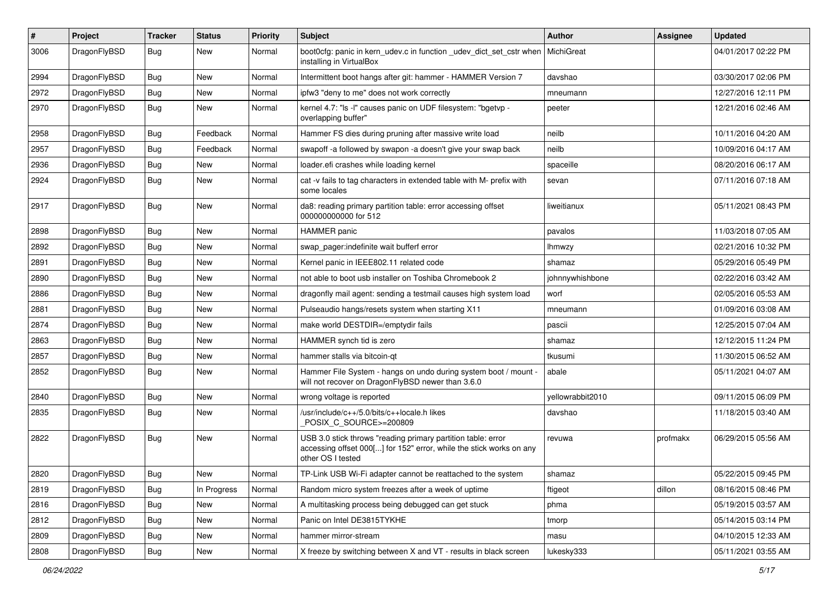| $\sharp$ | Project      | <b>Tracker</b> | <b>Status</b> | <b>Priority</b> | Subject                                                                                                                                                  | <b>Author</b>    | Assignee | <b>Updated</b>      |
|----------|--------------|----------------|---------------|-----------------|----------------------------------------------------------------------------------------------------------------------------------------------------------|------------------|----------|---------------------|
| 3006     | DragonFlyBSD | Bug            | New           | Normal          | boot0cfg: panic in kern_udev.c in function _udev_dict_set_cstr when<br>installing in VirtualBox                                                          | MichiGreat       |          | 04/01/2017 02:22 PM |
| 2994     | DragonFlyBSD | Bug            | New           | Normal          | Intermittent boot hangs after git: hammer - HAMMER Version 7                                                                                             | davshao          |          | 03/30/2017 02:06 PM |
| 2972     | DragonFlyBSD | <b>Bug</b>     | New           | Normal          | ipfw3 "deny to me" does not work correctly                                                                                                               | mneumann         |          | 12/27/2016 12:11 PM |
| 2970     | DragonFlyBSD | Bug            | <b>New</b>    | Normal          | kernel 4.7: "Is -I" causes panic on UDF filesystem: "bgetvp -<br>overlapping buffer"                                                                     | peeter           |          | 12/21/2016 02:46 AM |
| 2958     | DragonFlyBSD | <b>Bug</b>     | Feedback      | Normal          | Hammer FS dies during pruning after massive write load                                                                                                   | neilb            |          | 10/11/2016 04:20 AM |
| 2957     | DragonFlyBSD | <b>Bug</b>     | Feedback      | Normal          | swapoff -a followed by swapon -a doesn't give your swap back                                                                                             | neilb            |          | 10/09/2016 04:17 AM |
| 2936     | DragonFlyBSD | <b>Bug</b>     | <b>New</b>    | Normal          | loader.efi crashes while loading kernel                                                                                                                  | spaceille        |          | 08/20/2016 06:17 AM |
| 2924     | DragonFlyBSD | Bug            | New           | Normal          | cat -v fails to tag characters in extended table with M- prefix with<br>some locales                                                                     | sevan            |          | 07/11/2016 07:18 AM |
| 2917     | DragonFlyBSD | <b>Bug</b>     | New           | Normal          | da8: reading primary partition table: error accessing offset<br>000000000000 for 512                                                                     | liweitianux      |          | 05/11/2021 08:43 PM |
| 2898     | DragonFlyBSD | <b>Bug</b>     | <b>New</b>    | Normal          | HAMMER panic                                                                                                                                             | pavalos          |          | 11/03/2018 07:05 AM |
| 2892     | DragonFlyBSD | <b>Bug</b>     | <b>New</b>    | Normal          | swap pager:indefinite wait bufferf error                                                                                                                 | lhmwzy           |          | 02/21/2016 10:32 PM |
| 2891     | DragonFlyBSD | <b>Bug</b>     | New           | Normal          | Kernel panic in IEEE802.11 related code                                                                                                                  | shamaz           |          | 05/29/2016 05:49 PM |
| 2890     | DragonFlyBSD | <b>Bug</b>     | <b>New</b>    | Normal          | not able to boot usb installer on Toshiba Chromebook 2                                                                                                   | johnnywhishbone  |          | 02/22/2016 03:42 AM |
| 2886     | DragonFlyBSD | Bug            | <b>New</b>    | Normal          | dragonfly mail agent: sending a testmail causes high system load                                                                                         | worf             |          | 02/05/2016 05:53 AM |
| 2881     | DragonFlyBSD | <b>Bug</b>     | New           | Normal          | Pulseaudio hangs/resets system when starting X11                                                                                                         | mneumann         |          | 01/09/2016 03:08 AM |
| 2874     | DragonFlyBSD | <b>Bug</b>     | New           | Normal          | make world DESTDIR=/emptydir fails                                                                                                                       | pascii           |          | 12/25/2015 07:04 AM |
| 2863     | DragonFlyBSD | <b>Bug</b>     | <b>New</b>    | Normal          | HAMMER synch tid is zero                                                                                                                                 | shamaz           |          | 12/12/2015 11:24 PM |
| 2857     | DragonFlyBSD | <b>Bug</b>     | <b>New</b>    | Normal          | hammer stalls via bitcoin-qt                                                                                                                             | tkusumi          |          | 11/30/2015 06:52 AM |
| 2852     | DragonFlyBSD | <b>Bug</b>     | New           | Normal          | Hammer File System - hangs on undo during system boot / mount -<br>will not recover on DragonFlyBSD newer than 3.6.0                                     | abale            |          | 05/11/2021 04:07 AM |
| 2840     | DragonFlyBSD | Bug            | <b>New</b>    | Normal          | wrong voltage is reported                                                                                                                                | yellowrabbit2010 |          | 09/11/2015 06:09 PM |
| 2835     | DragonFlyBSD | Bug            | <b>New</b>    | Normal          | /usr/include/c++/5.0/bits/c++locale.h likes<br>POSIX C_SOURCE>=200809                                                                                    | davshao          |          | 11/18/2015 03:40 AM |
| 2822     | DragonFlyBSD | Bug            | New           | Normal          | USB 3.0 stick throws "reading primary partition table: error<br>accessing offset 000[] for 152" error, while the stick works on any<br>other OS I tested | revuwa           | profmakx | 06/29/2015 05:56 AM |
| 2820     | DragonFlyBSD | <b>Bug</b>     | New           | Normal          | TP-Link USB Wi-Fi adapter cannot be reattached to the system                                                                                             | shamaz           |          | 05/22/2015 09:45 PM |
| 2819     | DragonFlyBSD | Bug            | In Progress   | Normal          | Random micro system freezes after a week of uptime                                                                                                       | ftigeot          | dillon   | 08/16/2015 08:46 PM |
| 2816     | DragonFlyBSD | <b>Bug</b>     | New           | Normal          | A multitasking process being debugged can get stuck                                                                                                      | phma             |          | 05/19/2015 03:57 AM |
| 2812     | DragonFlyBSD | <b>Bug</b>     | New           | Normal          | Panic on Intel DE3815TYKHE                                                                                                                               | tmorp            |          | 05/14/2015 03:14 PM |
| 2809     | DragonFlyBSD | Bug            | New           | Normal          | hammer mirror-stream                                                                                                                                     | masu             |          | 04/10/2015 12:33 AM |
| 2808     | DragonFlyBSD | <b>Bug</b>     | New           | Normal          | X freeze by switching between X and VT - results in black screen                                                                                         | lukesky333       |          | 05/11/2021 03:55 AM |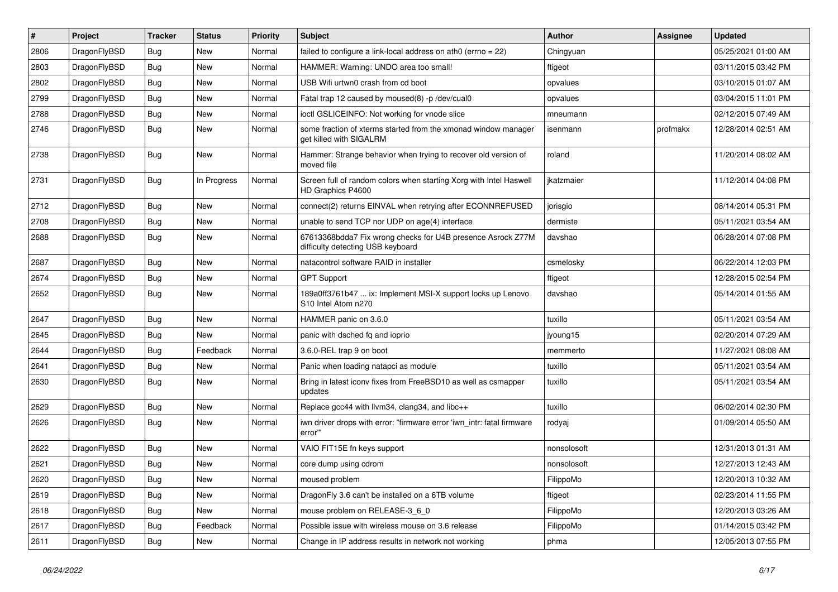| #    | Project      | <b>Tracker</b> | <b>Status</b> | <b>Priority</b> | Subject                                                                                          | <b>Author</b> | Assignee | <b>Updated</b>      |
|------|--------------|----------------|---------------|-----------------|--------------------------------------------------------------------------------------------------|---------------|----------|---------------------|
| 2806 | DragonFlyBSD | Bug            | <b>New</b>    | Normal          | failed to configure a link-local address on ath0 (errno = 22)                                    | Chingyuan     |          | 05/25/2021 01:00 AM |
| 2803 | DragonFlyBSD | <b>Bug</b>     | <b>New</b>    | Normal          | HAMMER: Warning: UNDO area too small!                                                            | ftigeot       |          | 03/11/2015 03:42 PM |
| 2802 | DragonFlyBSD | <b>Bug</b>     | <b>New</b>    | Normal          | USB Wifi urtwn0 crash from cd boot                                                               | opvalues      |          | 03/10/2015 01:07 AM |
| 2799 | DragonFlyBSD | <b>Bug</b>     | <b>New</b>    | Normal          | Fatal trap 12 caused by moused(8) -p /dev/cual0                                                  | opvalues      |          | 03/04/2015 11:01 PM |
| 2788 | DragonFlyBSD | Bug            | <b>New</b>    | Normal          | ioctl GSLICEINFO: Not working for vnode slice                                                    | mneumann      |          | 02/12/2015 07:49 AM |
| 2746 | DragonFlyBSD | Bug            | <b>New</b>    | Normal          | some fraction of xterms started from the xmonad window manager<br>get killed with SIGALRM        | isenmann      | profmakx | 12/28/2014 02:51 AM |
| 2738 | DragonFlyBSD | Bug            | <b>New</b>    | Normal          | Hammer: Strange behavior when trying to recover old version of<br>moved file                     | roland        |          | 11/20/2014 08:02 AM |
| 2731 | DragonFlyBSD | <b>Bug</b>     | In Progress   | Normal          | Screen full of random colors when starting Xorg with Intel Haswell<br>HD Graphics P4600          | ikatzmaier    |          | 11/12/2014 04:08 PM |
| 2712 | DragonFlyBSD | <b>Bug</b>     | <b>New</b>    | Normal          | connect(2) returns EINVAL when retrying after ECONNREFUSED                                       | jorisgio      |          | 08/14/2014 05:31 PM |
| 2708 | DragonFlyBSD | Bug            | <b>New</b>    | Normal          | unable to send TCP nor UDP on age(4) interface                                                   | dermiste      |          | 05/11/2021 03:54 AM |
| 2688 | DragonFlyBSD | Bug            | <b>New</b>    | Normal          | 67613368bdda7 Fix wrong checks for U4B presence Asrock Z77M<br>difficulty detecting USB keyboard | davshao       |          | 06/28/2014 07:08 PM |
| 2687 | DragonFlyBSD | Bug            | <b>New</b>    | Normal          | natacontrol software RAID in installer                                                           | csmelosky     |          | 06/22/2014 12:03 PM |
| 2674 | DragonFlyBSD | Bug            | <b>New</b>    | Normal          | <b>GPT Support</b>                                                                               | ftigeot       |          | 12/28/2015 02:54 PM |
| 2652 | DragonFlyBSD | Bug            | New           | Normal          | 189a0ff3761b47  ix: Implement MSI-X support locks up Lenovo<br>S10 Intel Atom n270               | davshao       |          | 05/14/2014 01:55 AM |
| 2647 | DragonFlyBSD | <b>Bug</b>     | New           | Normal          | HAMMER panic on 3.6.0                                                                            | tuxillo       |          | 05/11/2021 03:54 AM |
| 2645 | DragonFlyBSD | Bug            | <b>New</b>    | Normal          | panic with dsched fq and ioprio                                                                  | jyoung15      |          | 02/20/2014 07:29 AM |
| 2644 | DragonFlyBSD | Bug            | Feedback      | Normal          | 3.6.0-REL trap 9 on boot                                                                         | memmerto      |          | 11/27/2021 08:08 AM |
| 2641 | DragonFlyBSD | Bug            | <b>New</b>    | Normal          | Panic when loading natapci as module                                                             | tuxillo       |          | 05/11/2021 03:54 AM |
| 2630 | DragonFlyBSD | Bug            | <b>New</b>    | Normal          | Bring in latest iconv fixes from FreeBSD10 as well as csmapper<br>updates                        | tuxillo       |          | 05/11/2021 03:54 AM |
| 2629 | DragonFlyBSD | <b>Bug</b>     | <b>New</b>    | Normal          | Replace gcc44 with llvm34, clang34, and libc++                                                   | tuxillo       |          | 06/02/2014 02:30 PM |
| 2626 | DragonFlyBSD | <b>Bug</b>     | <b>New</b>    | Normal          | iwn driver drops with error: "firmware error 'iwn_intr: fatal firmware<br>error"                 | rodyaj        |          | 01/09/2014 05:50 AM |
| 2622 | DragonFlyBSD | <b>Bug</b>     | <b>New</b>    | Normal          | VAIO FIT15E fn keys support                                                                      | nonsolosoft   |          | 12/31/2013 01:31 AM |
| 2621 | DragonFlyBSD | Bug            | New           | Normal          | core dump using cdrom                                                                            | nonsolosoft   |          | 12/27/2013 12:43 AM |
| 2620 | DragonFlyBSD | Bug            | New           | Normal          | moused problem                                                                                   | FilippoMo     |          | 12/20/2013 10:32 AM |
| 2619 | DragonFlyBSD | <b>Bug</b>     | New           | Normal          | DragonFly 3.6 can't be installed on a 6TB volume                                                 | ftigeot       |          | 02/23/2014 11:55 PM |
| 2618 | DragonFlyBSD | Bug            | New           | Normal          | mouse problem on RELEASE-3_6_0                                                                   | FilippoMo     |          | 12/20/2013 03:26 AM |
| 2617 | DragonFlyBSD | <b>Bug</b>     | Feedback      | Normal          | Possible issue with wireless mouse on 3.6 release                                                | FilippoMo     |          | 01/14/2015 03:42 PM |
| 2611 | DragonFlyBSD | <b>Bug</b>     | New           | Normal          | Change in IP address results in network not working                                              | phma          |          | 12/05/2013 07:55 PM |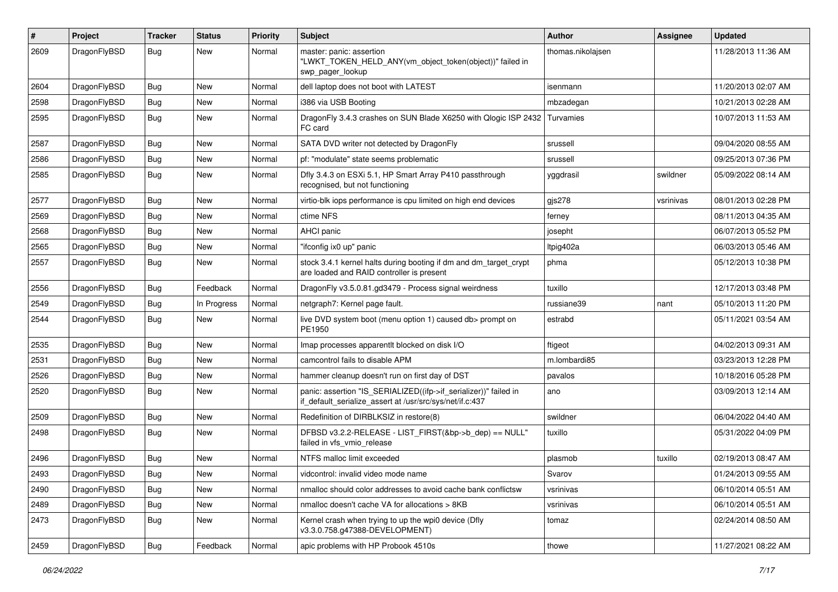| $\#$ | Project      | <b>Tracker</b> | <b>Status</b> | <b>Priority</b> | Subject                                                                                                                      | <b>Author</b>     | <b>Assignee</b> | <b>Updated</b>      |
|------|--------------|----------------|---------------|-----------------|------------------------------------------------------------------------------------------------------------------------------|-------------------|-----------------|---------------------|
| 2609 | DragonFlyBSD | Bug            | New           | Normal          | master: panic: assertion<br>"LWKT_TOKEN_HELD_ANY(vm_object_token(object))" failed in<br>swp_pager_lookup                     | thomas.nikolajsen |                 | 11/28/2013 11:36 AM |
| 2604 | DragonFlyBSD | Bug            | <b>New</b>    | Normal          | dell laptop does not boot with LATEST                                                                                        | isenmann          |                 | 11/20/2013 02:07 AM |
| 2598 | DragonFlyBSD | Bug            | <b>New</b>    | Normal          | i386 via USB Booting                                                                                                         | mbzadegan         |                 | 10/21/2013 02:28 AM |
| 2595 | DragonFlyBSD | Bug            | <b>New</b>    | Normal          | Dragon Fly 3.4.3 crashes on SUN Blade X6250 with Qlogic ISP 2432<br>FC card                                                  | Turvamies         |                 | 10/07/2013 11:53 AM |
| 2587 | DragonFlyBSD | Bug            | <b>New</b>    | Normal          | SATA DVD writer not detected by DragonFly                                                                                    | srussell          |                 | 09/04/2020 08:55 AM |
| 2586 | DragonFlyBSD | Bug            | New           | Normal          | pf: "modulate" state seems problematic                                                                                       | srussell          |                 | 09/25/2013 07:36 PM |
| 2585 | DragonFlyBSD | <b>Bug</b>     | <b>New</b>    | Normal          | Dfly 3.4.3 on ESXi 5.1, HP Smart Array P410 passthrough<br>recognised, but not functioning                                   | yggdrasil         | swildner        | 05/09/2022 08:14 AM |
| 2577 | DragonFlyBSD | Bug            | <b>New</b>    | Normal          | virtio-blk iops performance is cpu limited on high end devices                                                               | gis278            | vsrinivas       | 08/01/2013 02:28 PM |
| 2569 | DragonFlyBSD | Bug            | New           | Normal          | ctime NFS                                                                                                                    | ferney            |                 | 08/11/2013 04:35 AM |
| 2568 | DragonFlyBSD | Bug            | <b>New</b>    | Normal          | <b>AHCI</b> panic                                                                                                            | josepht           |                 | 06/07/2013 05:52 PM |
| 2565 | DragonFlyBSD | Bug            | <b>New</b>    | Normal          | "ifconfig ix0 up" panic                                                                                                      | Itpig402a         |                 | 06/03/2013 05:46 AM |
| 2557 | DragonFlyBSD | Bug            | <b>New</b>    | Normal          | stock 3.4.1 kernel halts during booting if dm and dm_target_crypt<br>are loaded and RAID controller is present               | phma              |                 | 05/12/2013 10:38 PM |
| 2556 | DragonFlyBSD | Bug            | Feedback      | Normal          | DragonFly v3.5.0.81.gd3479 - Process signal weirdness                                                                        | tuxillo           |                 | 12/17/2013 03:48 PM |
| 2549 | DragonFlyBSD | Bug            | In Progress   | Normal          | netgraph7: Kernel page fault.                                                                                                | russiane39        | nant            | 05/10/2013 11:20 PM |
| 2544 | DragonFlyBSD | Bug            | New           | Normal          | live DVD system boot (menu option 1) caused db> prompt on<br>PE1950                                                          | estrabd           |                 | 05/11/2021 03:54 AM |
| 2535 | DragonFlyBSD | Bug            | <b>New</b>    | Normal          | Imap processes apparentlt blocked on disk I/O                                                                                | ftigeot           |                 | 04/02/2013 09:31 AM |
| 2531 | DragonFlyBSD | Bug            | <b>New</b>    | Normal          | camcontrol fails to disable APM                                                                                              | m.lombardi85      |                 | 03/23/2013 12:28 PM |
| 2526 | DragonFlyBSD | Bug            | <b>New</b>    | Normal          | hammer cleanup doesn't run on first day of DST                                                                               | pavalos           |                 | 10/18/2016 05:28 PM |
| 2520 | DragonFlyBSD | Bug            | New           | Normal          | panic: assertion "IS_SERIALIZED((ifp->if_serializer))" failed in<br>if_default_serialize_assert at /usr/src/sys/net/if.c:437 | ano               |                 | 03/09/2013 12:14 AM |
| 2509 | DragonFlyBSD | Bug            | <b>New</b>    | Normal          | Redefinition of DIRBLKSIZ in restore(8)                                                                                      | swildner          |                 | 06/04/2022 04:40 AM |
| 2498 | DragonFlyBSD | Bug            | New           | Normal          | DFBSD v3.2.2-RELEASE - LIST_FIRST(&bp->b_dep) == NULL"<br>failed in vfs_vmio_release                                         | tuxillo           |                 | 05/31/2022 04:09 PM |
| 2496 | DragonFlyBSD | Bug            | New           | Normal          | NTFS malloc limit exceeded                                                                                                   | plasmob           | tuxillo         | 02/19/2013 08:47 AM |
| 2493 | DragonFlyBSD | <b>Bug</b>     | New           | Normal          | vidcontrol: invalid video mode name                                                                                          | Svarov            |                 | 01/24/2013 09:55 AM |
| 2490 | DragonFlyBSD | Bug            | New           | Normal          | nmalloc should color addresses to avoid cache bank conflictsw                                                                | vsrinivas         |                 | 06/10/2014 05:51 AM |
| 2489 | DragonFlyBSD | <b>Bug</b>     | New           | Normal          | nmalloc doesn't cache VA for allocations > 8KB                                                                               | vsrinivas         |                 | 06/10/2014 05:51 AM |
| 2473 | DragonFlyBSD | <b>Bug</b>     | New           | Normal          | Kernel crash when trying to up the wpi0 device (Dfly<br>v3.3.0.758.g47388-DEVELOPMENT)                                       | tomaz             |                 | 02/24/2014 08:50 AM |
| 2459 | DragonFlyBSD | <b>Bug</b>     | Feedback      | Normal          | apic problems with HP Probook 4510s                                                                                          | thowe             |                 | 11/27/2021 08:22 AM |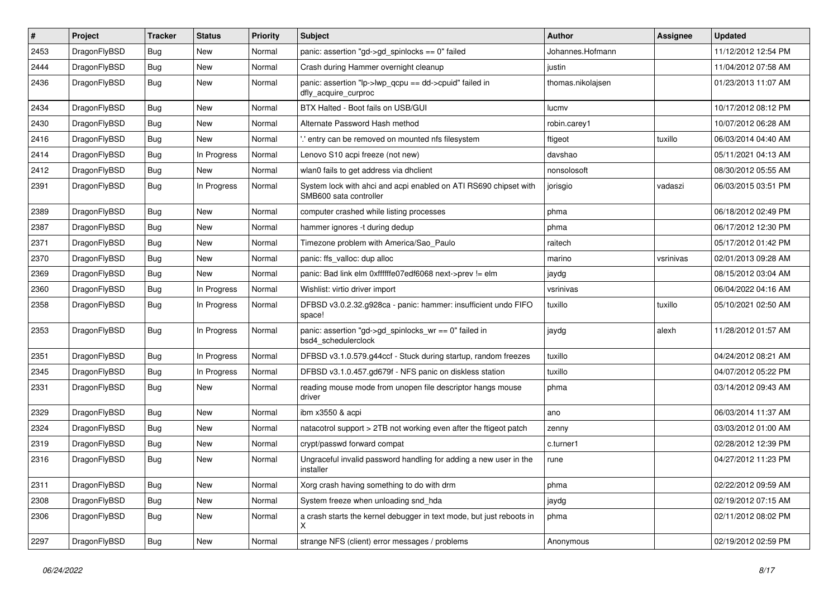| $\sharp$ | Project      | <b>Tracker</b> | <b>Status</b> | <b>Priority</b> | Subject                                                                                    | <b>Author</b>     | Assignee  | <b>Updated</b>      |
|----------|--------------|----------------|---------------|-----------------|--------------------------------------------------------------------------------------------|-------------------|-----------|---------------------|
| 2453     | DragonFlyBSD | Bug            | <b>New</b>    | Normal          | panic: assertion "gd->gd_spinlocks == 0" failed                                            | Johannes.Hofmann  |           | 11/12/2012 12:54 PM |
| 2444     | DragonFlyBSD | Bug            | <b>New</b>    | Normal          | Crash during Hammer overnight cleanup                                                      | justin            |           | 11/04/2012 07:58 AM |
| 2436     | DragonFlyBSD | Bug            | <b>New</b>    | Normal          | panic: assertion "lp->lwp_qcpu == dd->cpuid" failed in<br>dfly_acquire_curproc             | thomas.nikolajsen |           | 01/23/2013 11:07 AM |
| 2434     | DragonFlyBSD | Bug            | <b>New</b>    | Normal          | BTX Halted - Boot fails on USB/GUI                                                         | lucmv             |           | 10/17/2012 08:12 PM |
| 2430     | DragonFlyBSD | Bug            | <b>New</b>    | Normal          | Alternate Password Hash method                                                             | robin.carey1      |           | 10/07/2012 06:28 AM |
| 2416     | DragonFlyBSD | Bug            | <b>New</b>    | Normal          | 'entry can be removed on mounted nfs filesystem                                            | ftigeot           | tuxillo   | 06/03/2014 04:40 AM |
| 2414     | DragonFlyBSD | Bug            | In Progress   | Normal          | Lenovo S10 acpi freeze (not new)                                                           | davshao           |           | 05/11/2021 04:13 AM |
| 2412     | DragonFlyBSD | Bug            | New           | Normal          | wlan0 fails to get address via dhclient                                                    | nonsolosoft       |           | 08/30/2012 05:55 AM |
| 2391     | DragonFlyBSD | Bug            | In Progress   | Normal          | System lock with ahci and acpi enabled on ATI RS690 chipset with<br>SMB600 sata controller | jorisgio          | vadaszi   | 06/03/2015 03:51 PM |
| 2389     | DragonFlyBSD | Bug            | New           | Normal          | computer crashed while listing processes                                                   | phma              |           | 06/18/2012 02:49 PM |
| 2387     | DragonFlyBSD | Bug            | <b>New</b>    | Normal          | hammer ignores -t during dedup                                                             | phma              |           | 06/17/2012 12:30 PM |
| 2371     | DragonFlyBSD | Bug            | <b>New</b>    | Normal          | Timezone problem with America/Sao_Paulo                                                    | raitech           |           | 05/17/2012 01:42 PM |
| 2370     | DragonFlyBSD | Bug            | <b>New</b>    | Normal          | panic: ffs_valloc: dup alloc                                                               | marino            | vsrinivas | 02/01/2013 09:28 AM |
| 2369     | DragonFlyBSD | Bug            | <b>New</b>    | Normal          | panic: Bad link elm 0xffffffe07edf6068 next->prev != elm                                   | jaydg             |           | 08/15/2012 03:04 AM |
| 2360     | DragonFlyBSD | Bug            | In Progress   | Normal          | Wishlist: virtio driver import                                                             | vsrinivas         |           | 06/04/2022 04:16 AM |
| 2358     | DragonFlyBSD | Bug            | In Progress   | Normal          | DFBSD v3.0.2.32.g928ca - panic: hammer: insufficient undo FIFO<br>space!                   | tuxillo           | tuxillo   | 05/10/2021 02:50 AM |
| 2353     | DragonFlyBSD | Bug            | In Progress   | Normal          | panic: assertion "gd->gd_spinlocks_wr == 0" failed in<br>bsd4 schedulerclock               | jaydg             | alexh     | 11/28/2012 01:57 AM |
| 2351     | DragonFlyBSD | <b>Bug</b>     | In Progress   | Normal          | DFBSD v3.1.0.579.g44ccf - Stuck during startup, random freezes                             | tuxillo           |           | 04/24/2012 08:21 AM |
| 2345     | DragonFlyBSD | Bug            | In Progress   | Normal          | DFBSD v3.1.0.457.gd679f - NFS panic on diskless station                                    | tuxillo           |           | 04/07/2012 05:22 PM |
| 2331     | DragonFlyBSD | Bug            | New           | Normal          | reading mouse mode from unopen file descriptor hangs mouse<br>driver                       | phma              |           | 03/14/2012 09:43 AM |
| 2329     | DragonFlyBSD | <b>Bug</b>     | <b>New</b>    | Normal          | ibm x3550 & acpi                                                                           | ano               |           | 06/03/2014 11:37 AM |
| 2324     | DragonFlyBSD | Bug            | New           | Normal          | natacotrol support > 2TB not working even after the ftigeot patch                          | zenny             |           | 03/03/2012 01:00 AM |
| 2319     | DragonFlyBSD | Bug            | <b>New</b>    | Normal          | crypt/passwd forward compat                                                                | c.turner1         |           | 02/28/2012 12:39 PM |
| 2316     | DragonFlyBSD | Bug            | New           | Normal          | Ungraceful invalid password handling for adding a new user in the<br>installer             | rune              |           | 04/27/2012 11:23 PM |
| 2311     | DragonFlyBSD | Bug            | New           | Normal          | Xorg crash having something to do with drm                                                 | phma              |           | 02/22/2012 09:59 AM |
| 2308     | DragonFlyBSD | <b>Bug</b>     | New           | Normal          | System freeze when unloading snd hda                                                       | jaydg             |           | 02/19/2012 07:15 AM |
| 2306     | DragonFlyBSD | <b>Bug</b>     | New           | Normal          | a crash starts the kernel debugger in text mode, but just reboots in<br>X                  | phma              |           | 02/11/2012 08:02 PM |
| 2297     | DragonFlyBSD | <b>Bug</b>     | New           | Normal          | strange NFS (client) error messages / problems                                             | Anonymous         |           | 02/19/2012 02:59 PM |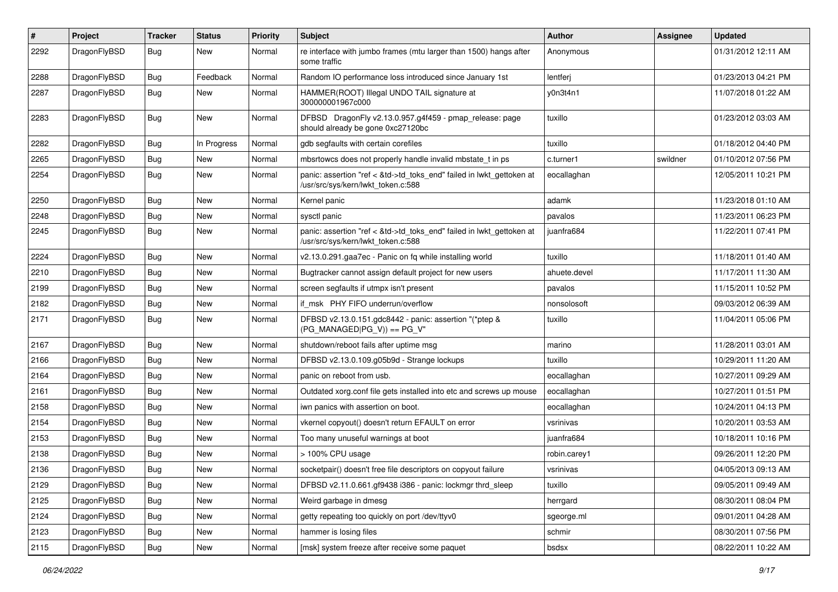| $\sharp$ | Project      | <b>Tracker</b> | <b>Status</b> | <b>Priority</b> | Subject                                                                                                    | Author       | Assignee | <b>Updated</b>      |
|----------|--------------|----------------|---------------|-----------------|------------------------------------------------------------------------------------------------------------|--------------|----------|---------------------|
| 2292     | DragonFlyBSD | Bug            | <b>New</b>    | Normal          | re interface with jumbo frames (mtu larger than 1500) hangs after<br>some traffic                          | Anonymous    |          | 01/31/2012 12:11 AM |
| 2288     | DragonFlyBSD | Bug            | Feedback      | Normal          | Random IO performance loss introduced since January 1st                                                    | lentferj     |          | 01/23/2013 04:21 PM |
| 2287     | DragonFlyBSD | Bug            | New           | Normal          | HAMMER(ROOT) Illegal UNDO TAIL signature at<br>300000001967c000                                            | y0n3t4n1     |          | 11/07/2018 01:22 AM |
| 2283     | DragonFlyBSD | Bug            | <b>New</b>    | Normal          | DFBSD DragonFly v2.13.0.957.g4f459 - pmap_release: page<br>should already be gone 0xc27120bc               | tuxillo      |          | 01/23/2012 03:03 AM |
| 2282     | DragonFlyBSD | Bug            | In Progress   | Normal          | gdb segfaults with certain corefiles                                                                       | tuxillo      |          | 01/18/2012 04:40 PM |
| 2265     | DragonFlyBSD | <b>Bug</b>     | <b>New</b>    | Normal          | mbsrtowcs does not properly handle invalid mbstate t in ps                                                 | c.turner1    | swildner | 01/10/2012 07:56 PM |
| 2254     | DragonFlyBSD | Bug            | <b>New</b>    | Normal          | panic: assertion "ref < &td->td_toks_end" failed in lwkt_gettoken at<br>/usr/src/sys/kern/lwkt_token.c:588 | eocallaghan  |          | 12/05/2011 10:21 PM |
| 2250     | DragonFlyBSD | Bug            | <b>New</b>    | Normal          | Kernel panic                                                                                               | adamk        |          | 11/23/2018 01:10 AM |
| 2248     | DragonFlyBSD | Bug            | <b>New</b>    | Normal          | sysctl panic                                                                                               | pavalos      |          | 11/23/2011 06:23 PM |
| 2245     | DragonFlyBSD | Bug            | <b>New</b>    | Normal          | panic: assertion "ref < &td->td_toks_end" failed in lwkt_gettoken at<br>/usr/src/sys/kern/lwkt_token.c:588 | juanfra684   |          | 11/22/2011 07:41 PM |
| 2224     | DragonFlyBSD | Bug            | <b>New</b>    | Normal          | v2.13.0.291.gaa7ec - Panic on fq while installing world                                                    | tuxillo      |          | 11/18/2011 01:40 AM |
| 2210     | DragonFlyBSD | <b>Bug</b>     | <b>New</b>    | Normal          | Bugtracker cannot assign default project for new users                                                     | ahuete.devel |          | 11/17/2011 11:30 AM |
| 2199     | DragonFlyBSD | Bug            | <b>New</b>    | Normal          | screen segfaults if utmpx isn't present                                                                    | pavalos      |          | 11/15/2011 10:52 PM |
| 2182     | DragonFlyBSD | Bug            | <b>New</b>    | Normal          | if msk PHY FIFO underrun/overflow                                                                          | nonsolosoft  |          | 09/03/2012 06:39 AM |
| 2171     | DragonFlyBSD | Bug            | New           | Normal          | DFBSD v2.13.0.151.gdc8442 - panic: assertion "(*ptep &<br>$(PG_MANAGED PG_V)) == PG_V"$                    | tuxillo      |          | 11/04/2011 05:06 PM |
| 2167     | DragonFlyBSD | Bug            | <b>New</b>    | Normal          | shutdown/reboot fails after uptime msg                                                                     | marino       |          | 11/28/2011 03:01 AM |
| 2166     | DragonFlyBSD | Bug            | New           | Normal          | DFBSD v2.13.0.109.g05b9d - Strange lockups                                                                 | tuxillo      |          | 10/29/2011 11:20 AM |
| 2164     | DragonFlyBSD | Bug            | <b>New</b>    | Normal          | panic on reboot from usb.                                                                                  | eocallaghan  |          | 10/27/2011 09:29 AM |
| 2161     | DragonFlyBSD | Bug            | New           | Normal          | Outdated xorg.conf file gets installed into etc and screws up mouse                                        | eocallaghan  |          | 10/27/2011 01:51 PM |
| 2158     | DragonFlyBSD | Bug            | <b>New</b>    | Normal          | iwn panics with assertion on boot.                                                                         | eocallaghan  |          | 10/24/2011 04:13 PM |
| 2154     | DragonFlyBSD | Bug            | New           | Normal          | vkernel copyout() doesn't return EFAULT on error                                                           | vsrinivas    |          | 10/20/2011 03:53 AM |
| 2153     | DragonFlyBSD | Bug            | New           | Normal          | Too many unuseful warnings at boot                                                                         | juanfra684   |          | 10/18/2011 10:16 PM |
| 2138     | DragonFlyBSD | Bug            | <b>New</b>    | Normal          | > 100% CPU usage                                                                                           | robin.carey1 |          | 09/26/2011 12:20 PM |
| 2136     | DragonFlyBSD | Bug            | New           | Normal          | socketpair() doesn't free file descriptors on copyout failure                                              | vsrinivas    |          | 04/05/2013 09:13 AM |
| 2129     | DragonFlyBSD | Bug            | New           | Normal          | DFBSD v2.11.0.661.gf9438 i386 - panic: lockmgr thrd_sleep                                                  | tuxillo      |          | 09/05/2011 09:49 AM |
| 2125     | DragonFlyBSD | Bug            | New           | Normal          | Weird garbage in dmesg                                                                                     | herrgard     |          | 08/30/2011 08:04 PM |
| 2124     | DragonFlyBSD | <b>Bug</b>     | New           | Normal          | getty repeating too quickly on port /dev/ttyv0                                                             | sgeorge.ml   |          | 09/01/2011 04:28 AM |
| 2123     | DragonFlyBSD | Bug            | New           | Normal          | hammer is losing files                                                                                     | schmir       |          | 08/30/2011 07:56 PM |
| 2115     | DragonFlyBSD | Bug            | New           | Normal          | [msk] system freeze after receive some paquet                                                              | bsdsx        |          | 08/22/2011 10:22 AM |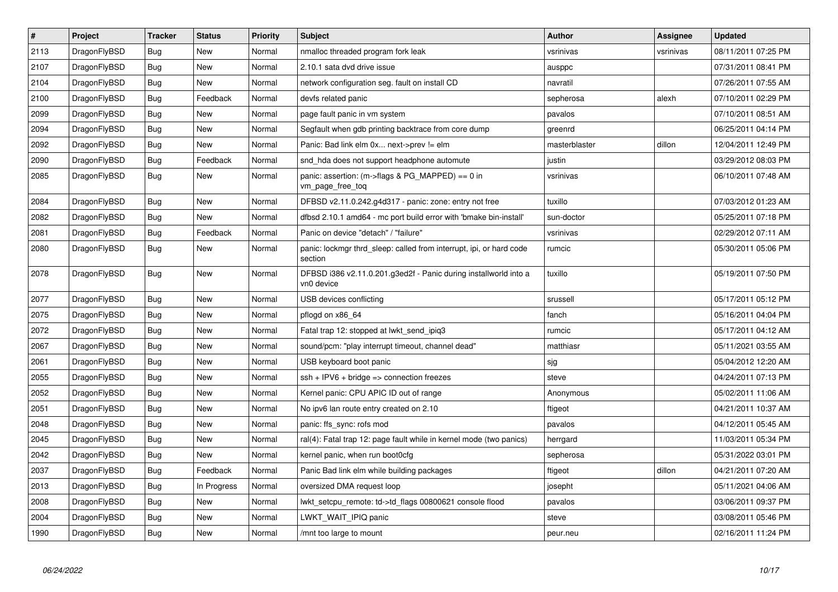| $\vert$ # | <b>Project</b> | <b>Tracker</b> | <b>Status</b> | <b>Priority</b> | <b>Subject</b>                                                                   | <b>Author</b> | <b>Assignee</b> | <b>Updated</b>      |
|-----------|----------------|----------------|---------------|-----------------|----------------------------------------------------------------------------------|---------------|-----------------|---------------------|
| 2113      | DragonFlyBSD   | Bug            | <b>New</b>    | Normal          | nmalloc threaded program fork leak                                               | vsrinivas     | vsrinivas       | 08/11/2011 07:25 PM |
| 2107      | DragonFlyBSD   | <b>Bug</b>     | <b>New</b>    | Normal          | 2.10.1 sata dvd drive issue                                                      | ausppc        |                 | 07/31/2011 08:41 PM |
| 2104      | DragonFlyBSD   | Bug            | <b>New</b>    | Normal          | network configuration seg. fault on install CD                                   | navratil      |                 | 07/26/2011 07:55 AM |
| 2100      | DragonFlyBSD   | Bug            | Feedback      | Normal          | devfs related panic                                                              | sepherosa     | alexh           | 07/10/2011 02:29 PM |
| 2099      | DragonFlyBSD   | Bug            | <b>New</b>    | Normal          | page fault panic in vm system                                                    | pavalos       |                 | 07/10/2011 08:51 AM |
| 2094      | DragonFlyBSD   | Bug            | <b>New</b>    | Normal          | Segfault when gdb printing backtrace from core dump                              | greenrd       |                 | 06/25/2011 04:14 PM |
| 2092      | DragonFlyBSD   | Bug            | <b>New</b>    | Normal          | Panic: Bad link elm 0x next->prev != elm                                         | masterblaster | dillon          | 12/04/2011 12:49 PM |
| 2090      | DragonFlyBSD   | Bug            | Feedback      | Normal          | snd_hda does not support headphone automute                                      | justin        |                 | 03/29/2012 08:03 PM |
| 2085      | DragonFlyBSD   | <b>Bug</b>     | <b>New</b>    | Normal          | panic: assertion: $(m\rightarrow$ flags & PG MAPPED) == 0 in<br>vm_page_free_toq | vsrinivas     |                 | 06/10/2011 07:48 AM |
| 2084      | DragonFlyBSD   | Bug            | <b>New</b>    | Normal          | DFBSD v2.11.0.242.g4d317 - panic: zone: entry not free                           | tuxillo       |                 | 07/03/2012 01:23 AM |
| 2082      | DragonFlyBSD   | Bug            | <b>New</b>    | Normal          | dfbsd 2.10.1 amd64 - mc port build error with 'bmake bin-install'                | sun-doctor    |                 | 05/25/2011 07:18 PM |
| 2081      | DragonFlyBSD   | <b>Bug</b>     | Feedback      | Normal          | Panic on device "detach" / "failure"                                             | vsrinivas     |                 | 02/29/2012 07:11 AM |
| 2080      | DragonFlyBSD   | Bug            | <b>New</b>    | Normal          | panic: lockmgr thrd sleep: called from interrupt, ipi, or hard code<br>section   | rumcic        |                 | 05/30/2011 05:06 PM |
| 2078      | DragonFlyBSD   | <b>Bug</b>     | <b>New</b>    | Normal          | DFBSD i386 v2.11.0.201.g3ed2f - Panic during installworld into a<br>vn0 device   | tuxillo       |                 | 05/19/2011 07:50 PM |
| 2077      | DragonFlyBSD   | <b>Bug</b>     | <b>New</b>    | Normal          | USB devices conflicting                                                          | srussell      |                 | 05/17/2011 05:12 PM |
| 2075      | DragonFlyBSD   | Bug            | <b>New</b>    | Normal          | pflogd on x86 64                                                                 | fanch         |                 | 05/16/2011 04:04 PM |
| 2072      | DragonFlyBSD   | Bug            | <b>New</b>    | Normal          | Fatal trap 12: stopped at lwkt send ipig3                                        | rumcic        |                 | 05/17/2011 04:12 AM |
| 2067      | DragonFlyBSD   | Bug            | <b>New</b>    | Normal          | sound/pcm: "play interrupt timeout, channel dead"                                | matthiasr     |                 | 05/11/2021 03:55 AM |
| 2061      | DragonFlyBSD   | Bug            | <b>New</b>    | Normal          | USB keyboard boot panic                                                          | sjg           |                 | 05/04/2012 12:20 AM |
| 2055      | DragonFlyBSD   | Bug            | <b>New</b>    | Normal          | $ssh + IPV6 + bridge \Rightarrow$ connection freezes                             | steve         |                 | 04/24/2011 07:13 PM |
| 2052      | DragonFlyBSD   | Bug            | New           | Normal          | Kernel panic: CPU APIC ID out of range                                           | Anonymous     |                 | 05/02/2011 11:06 AM |
| 2051      | DragonFlyBSD   | Bug            | <b>New</b>    | Normal          | No ipv6 lan route entry created on 2.10                                          | ftigeot       |                 | 04/21/2011 10:37 AM |
| 2048      | DragonFlyBSD   | Bug            | New           | Normal          | panic: ffs_sync: rofs mod                                                        | pavalos       |                 | 04/12/2011 05:45 AM |
| 2045      | DragonFlyBSD   | Bug            | <b>New</b>    | Normal          | ral(4): Fatal trap 12: page fault while in kernel mode (two panics)              | herrgard      |                 | 11/03/2011 05:34 PM |
| 2042      | DragonFlyBSD   | Bug            | <b>New</b>    | Normal          | kernel panic, when run boot0cfg                                                  | sepherosa     |                 | 05/31/2022 03:01 PM |
| 2037      | DragonFlyBSD   | Bug            | Feedback      | Normal          | Panic Bad link elm while building packages                                       | ftigeot       | dillon          | 04/21/2011 07:20 AM |
| 2013      | DragonFlyBSD   | Bug            | In Progress   | Normal          | oversized DMA request loop                                                       | josepht       |                 | 05/11/2021 04:06 AM |
| 2008      | DragonFlyBSD   | Bug            | <b>New</b>    | Normal          | lwkt setcpu remote: td->td flags 00800621 console flood                          | pavalos       |                 | 03/06/2011 09:37 PM |
| 2004      | DragonFlyBSD   | Bug            | <b>New</b>    | Normal          | LWKT WAIT IPIQ panic                                                             | steve         |                 | 03/08/2011 05:46 PM |
| 1990      | DragonFlyBSD   | Bug            | <b>New</b>    | Normal          | /mnt too large to mount                                                          | peur.neu      |                 | 02/16/2011 11:24 PM |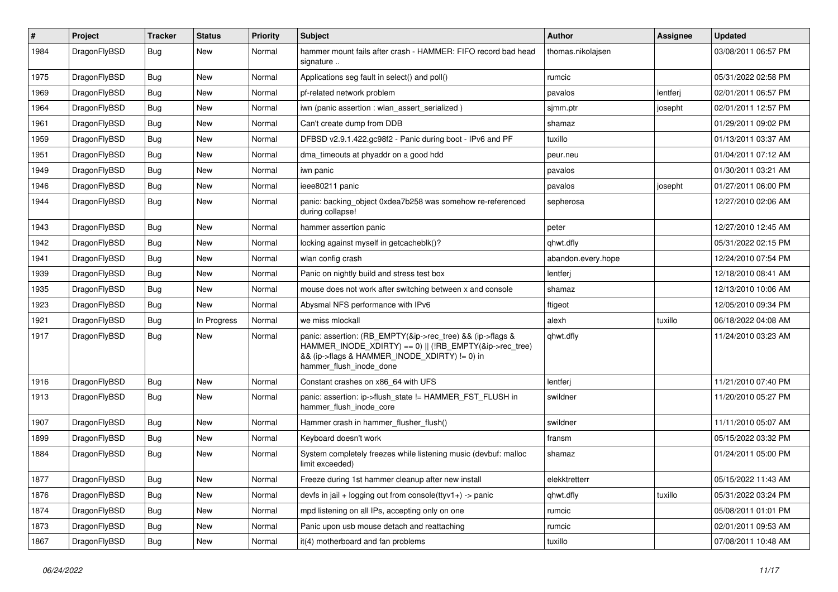| #    | Project      | Tracker    | <b>Status</b> | <b>Priority</b> | <b>Subject</b>                                                                                                                                                                                    | Author             | <b>Assignee</b> | <b>Updated</b>      |
|------|--------------|------------|---------------|-----------------|---------------------------------------------------------------------------------------------------------------------------------------------------------------------------------------------------|--------------------|-----------------|---------------------|
| 1984 | DragonFlyBSD | Bug        | New           | Normal          | hammer mount fails after crash - HAMMER: FIFO record bad head<br>signature                                                                                                                        | thomas.nikolajsen  |                 | 03/08/2011 06:57 PM |
| 1975 | DragonFlyBSD | <b>Bug</b> | New           | Normal          | Applications seg fault in select() and poll()                                                                                                                                                     | rumcic             |                 | 05/31/2022 02:58 PM |
| 1969 | DragonFlyBSD | Bug        | New           | Normal          | pf-related network problem                                                                                                                                                                        | pavalos            | lentferj        | 02/01/2011 06:57 PM |
| 1964 | DragonFlyBSD | Bug        | New           | Normal          | iwn (panic assertion : wlan assert serialized)                                                                                                                                                    | sjmm.ptr           | josepht         | 02/01/2011 12:57 PM |
| 1961 | DragonFlyBSD | <b>Bug</b> | New           | Normal          | Can't create dump from DDB                                                                                                                                                                        | shamaz             |                 | 01/29/2011 09:02 PM |
| 1959 | DragonFlyBSD | <b>Bug</b> | <b>New</b>    | Normal          | DFBSD v2.9.1.422.gc98f2 - Panic during boot - IPv6 and PF                                                                                                                                         | tuxillo            |                 | 01/13/2011 03:37 AM |
| 1951 | DragonFlyBSD | Bug        | New           | Normal          | dma timeouts at phyaddr on a good hdd                                                                                                                                                             | peur.neu           |                 | 01/04/2011 07:12 AM |
| 1949 | DragonFlyBSD | Bug        | New           | Normal          | iwn panic                                                                                                                                                                                         | pavalos            |                 | 01/30/2011 03:21 AM |
| 1946 | DragonFlyBSD | Bug        | <b>New</b>    | Normal          | ieee80211 panic                                                                                                                                                                                   | pavalos            | josepht         | 01/27/2011 06:00 PM |
| 1944 | DragonFlyBSD | Bug        | New           | Normal          | panic: backing object 0xdea7b258 was somehow re-referenced<br>during collapse!                                                                                                                    | sepherosa          |                 | 12/27/2010 02:06 AM |
| 1943 | DragonFlyBSD | <b>Bug</b> | <b>New</b>    | Normal          | hammer assertion panic                                                                                                                                                                            | peter              |                 | 12/27/2010 12:45 AM |
| 1942 | DragonFlyBSD | <b>Bug</b> | New           | Normal          | locking against myself in getcacheblk()?                                                                                                                                                          | qhwt.dfly          |                 | 05/31/2022 02:15 PM |
| 1941 | DragonFlyBSD | <b>Bug</b> | <b>New</b>    | Normal          | wlan config crash                                                                                                                                                                                 | abandon.every.hope |                 | 12/24/2010 07:54 PM |
| 1939 | DragonFlyBSD | <b>Bug</b> | New           | Normal          | Panic on nightly build and stress test box                                                                                                                                                        | lentferj           |                 | 12/18/2010 08:41 AM |
| 1935 | DragonFlyBSD | <b>Bug</b> | New           | Normal          | mouse does not work after switching between x and console                                                                                                                                         | shamaz             |                 | 12/13/2010 10:06 AM |
| 1923 | DragonFlyBSD | <b>Bug</b> | <b>New</b>    | Normal          | Abysmal NFS performance with IPv6                                                                                                                                                                 | ftigeot            |                 | 12/05/2010 09:34 PM |
| 1921 | DragonFlyBSD | Bug        | In Progress   | Normal          | we miss mlockall                                                                                                                                                                                  | alexh              | tuxillo         | 06/18/2022 04:08 AM |
| 1917 | DragonFlyBSD | Bug        | New           | Normal          | panic: assertion: (RB_EMPTY(&ip->rec_tree) && (ip->flags &<br>HAMMER_INODE_XDIRTY) == 0)    (!RB_EMPTY(&ip->rec_tree)<br>&& (ip->flags & HAMMER_INODE_XDIRTY) != 0) in<br>hammer_flush_inode_done | qhwt.dfly          |                 | 11/24/2010 03:23 AM |
| 1916 | DragonFlyBSD | <b>Bug</b> | New           | Normal          | Constant crashes on x86_64 with UFS                                                                                                                                                               | lentferj           |                 | 11/21/2010 07:40 PM |
| 1913 | DragonFlyBSD | <b>Bug</b> | New           | Normal          | panic: assertion: ip->flush_state != HAMMER_FST_FLUSH in<br>hammer_flush_inode_core                                                                                                               | swildner           |                 | 11/20/2010 05:27 PM |
| 1907 | DragonFlyBSD | Bug        | <b>New</b>    | Normal          | Hammer crash in hammer flusher flush()                                                                                                                                                            | swildner           |                 | 11/11/2010 05:07 AM |
| 1899 | DragonFlyBSD | Bug        | New           | Normal          | Keyboard doesn't work                                                                                                                                                                             | fransm             |                 | 05/15/2022 03:32 PM |
| 1884 | DragonFlyBSD | <b>Bug</b> | New           | Normal          | System completely freezes while listening music (devbuf: malloc<br>limit exceeded)                                                                                                                | shamaz             |                 | 01/24/2011 05:00 PM |
| 1877 | DragonFlyBSD | Bug        | New           | Normal          | Freeze during 1st hammer cleanup after new install                                                                                                                                                | elekktretterr      |                 | 05/15/2022 11:43 AM |
| 1876 | DragonFlyBSD | <b>Bug</b> | New           | Normal          | devfs in jail + logging out from console(ttyv1+) -> panic                                                                                                                                         | qhwt.dfly          | tuxillo         | 05/31/2022 03:24 PM |
| 1874 | DragonFlyBSD | Bug        | New           | Normal          | mpd listening on all IPs, accepting only on one                                                                                                                                                   | rumcic             |                 | 05/08/2011 01:01 PM |
| 1873 | DragonFlyBSD | Bug        | New           | Normal          | Panic upon usb mouse detach and reattaching                                                                                                                                                       | rumcic             |                 | 02/01/2011 09:53 AM |
| 1867 | DragonFlyBSD | <b>Bug</b> | New           | Normal          | it(4) motherboard and fan problems                                                                                                                                                                | tuxillo            |                 | 07/08/2011 10:48 AM |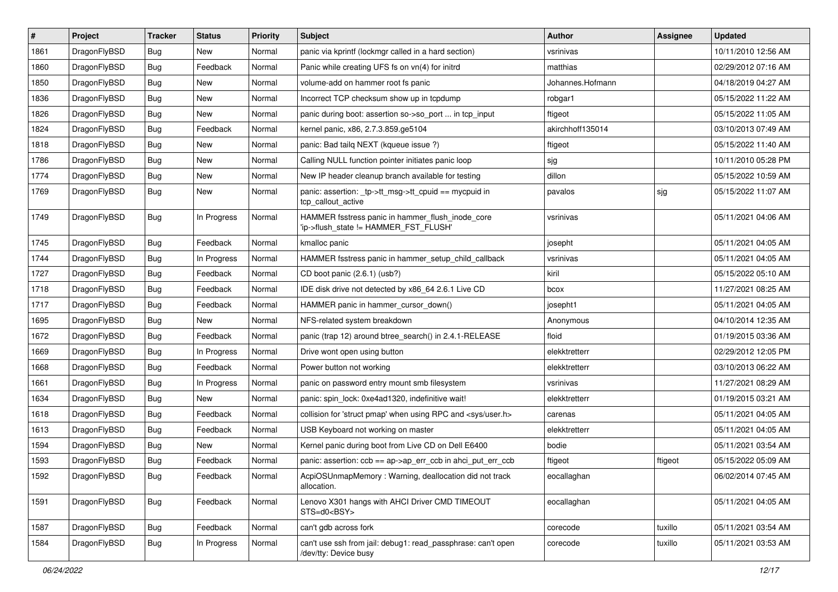| #    | Project      | <b>Tracker</b> | <b>Status</b> | <b>Priority</b> | <b>Subject</b>                                                                            | <b>Author</b>    | <b>Assignee</b> | <b>Updated</b>      |
|------|--------------|----------------|---------------|-----------------|-------------------------------------------------------------------------------------------|------------------|-----------------|---------------------|
| 1861 | DragonFlyBSD | Bug            | New           | Normal          | panic via kprintf (lockmgr called in a hard section)                                      | vsrinivas        |                 | 10/11/2010 12:56 AM |
| 1860 | DragonFlyBSD | Bug            | Feedback      | Normal          | Panic while creating UFS fs on vn(4) for initrd                                           | matthias         |                 | 02/29/2012 07:16 AM |
| 1850 | DragonFlyBSD | <b>Bug</b>     | New           | Normal          | volume-add on hammer root fs panic                                                        | Johannes.Hofmann |                 | 04/18/2019 04:27 AM |
| 1836 | DragonFlyBSD | <b>Bug</b>     | New           | Normal          | Incorrect TCP checksum show up in tcpdump                                                 | robgar1          |                 | 05/15/2022 11:22 AM |
| 1826 | DragonFlyBSD | Bug            | <b>New</b>    | Normal          | panic during boot: assertion so->so_port  in tcp_input                                    | ftigeot          |                 | 05/15/2022 11:05 AM |
| 1824 | DragonFlyBSD | <b>Bug</b>     | Feedback      | Normal          | kernel panic, x86, 2.7.3.859.ge5104                                                       | akirchhoff135014 |                 | 03/10/2013 07:49 AM |
| 1818 | DragonFlyBSD | <b>Bug</b>     | New           | Normal          | panic: Bad tailg NEXT (kgueue issue ?)                                                    | ftigeot          |                 | 05/15/2022 11:40 AM |
| 1786 | DragonFlyBSD | <b>Bug</b>     | New           | Normal          | Calling NULL function pointer initiates panic loop                                        | sjg              |                 | 10/11/2010 05:28 PM |
| 1774 | DragonFlyBSD | <b>Bug</b>     | New           | Normal          | New IP header cleanup branch available for testing                                        | dillon           |                 | 05/15/2022 10:59 AM |
| 1769 | DragonFlyBSD | Bug            | New           | Normal          | panic: assertion: _tp->tt_msg->tt_cpuid == mycpuid in<br>tcp_callout_active               | pavalos          | sjg             | 05/15/2022 11:07 AM |
| 1749 | DragonFlyBSD | Bug            | In Progress   | Normal          | HAMMER fsstress panic in hammer_flush_inode_core<br>'ip->flush_state != HAMMER_FST_FLUSH' | vsrinivas        |                 | 05/11/2021 04:06 AM |
| 1745 | DragonFlyBSD | Bug            | Feedback      | Normal          | kmalloc panic                                                                             | josepht          |                 | 05/11/2021 04:05 AM |
| 1744 | DragonFlyBSD | <b>Bug</b>     | In Progress   | Normal          | HAMMER fsstress panic in hammer_setup_child_callback                                      | vsrinivas        |                 | 05/11/2021 04:05 AM |
| 1727 | DragonFlyBSD | <b>Bug</b>     | Feedback      | Normal          | CD boot panic (2.6.1) (usb?)                                                              | kiril            |                 | 05/15/2022 05:10 AM |
| 1718 | DragonFlyBSD | <b>Bug</b>     | Feedback      | Normal          | IDE disk drive not detected by x86_64 2.6.1 Live CD                                       | bcox             |                 | 11/27/2021 08:25 AM |
| 1717 | DragonFlyBSD | Bug            | Feedback      | Normal          | HAMMER panic in hammer cursor down()                                                      | josepht1         |                 | 05/11/2021 04:05 AM |
| 1695 | DragonFlyBSD | <b>Bug</b>     | New           | Normal          | NFS-related system breakdown                                                              | Anonymous        |                 | 04/10/2014 12:35 AM |
| 1672 | DragonFlyBSD | <b>Bug</b>     | Feedback      | Normal          | panic (trap 12) around btree search() in 2.4.1-RELEASE                                    | floid            |                 | 01/19/2015 03:36 AM |
| 1669 | DragonFlyBSD | <b>Bug</b>     | In Progress   | Normal          | Drive wont open using button                                                              | elekktretterr    |                 | 02/29/2012 12:05 PM |
| 1668 | DragonFlyBSD | <b>Bug</b>     | Feedback      | Normal          | Power button not working                                                                  | elekktretterr    |                 | 03/10/2013 06:22 AM |
| 1661 | DragonFlyBSD | Bug            | In Progress   | Normal          | panic on password entry mount smb filesystem                                              | vsrinivas        |                 | 11/27/2021 08:29 AM |
| 1634 | DragonFlyBSD | <b>Bug</b>     | <b>New</b>    | Normal          | panic: spin lock: 0xe4ad1320, indefinitive wait!                                          | elekktretterr    |                 | 01/19/2015 03:21 AM |
| 1618 | DragonFlyBSD | <b>Bug</b>     | Feedback      | Normal          | collision for 'struct pmap' when using RPC and <sys user.h=""></sys>                      | carenas          |                 | 05/11/2021 04:05 AM |
| 1613 | DragonFlyBSD | Bug            | Feedback      | Normal          | USB Keyboard not working on master                                                        | elekktretterr    |                 | 05/11/2021 04:05 AM |
| 1594 | DragonFlyBSD | <b>Bug</b>     | New           | Normal          | Kernel panic during boot from Live CD on Dell E6400                                       | bodie            |                 | 05/11/2021 03:54 AM |
| 1593 | DragonFlyBSD | <b>Bug</b>     | Feedback      | Normal          | panic: assertion: ccb == ap->ap_err_ccb in ahci_put_err_ccb                               | ftigeot          | ftigeot         | 05/15/2022 05:09 AM |
| 1592 | DragonFlyBSD | <b>Bug</b>     | Feedback      | Normal          | AcpiOSUnmapMemory: Warning, deallocation did not track<br>allocation.                     | eocallaghan      |                 | 06/02/2014 07:45 AM |
| 1591 | DragonFlyBSD | <b>Bug</b>     | Feedback      | Normal          | Lenovo X301 hangs with AHCI Driver CMD TIMEOUT<br>STS=d0 <bsy></bsy>                      | eocallaghan      |                 | 05/11/2021 04:05 AM |
| 1587 | DragonFlyBSD | <b>Bug</b>     | Feedback      | Normal          | can't gdb across fork                                                                     | corecode         | tuxillo         | 05/11/2021 03:54 AM |
| 1584 | DragonFlyBSD | <b>Bug</b>     | In Progress   | Normal          | can't use ssh from jail: debug1: read_passphrase: can't open<br>/dev/tty: Device busy     | corecode         | tuxillo         | 05/11/2021 03:53 AM |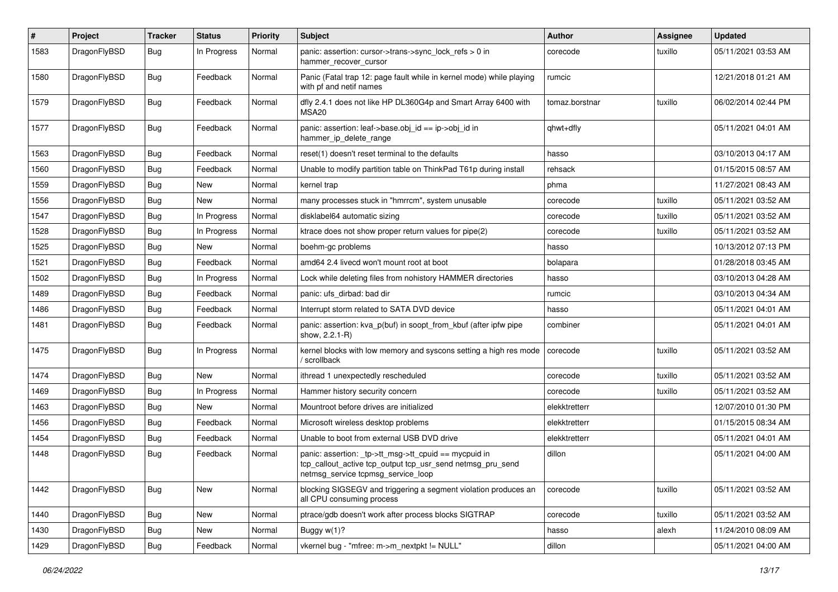| $\#$ | Project      | <b>Tracker</b> | <b>Status</b> | <b>Priority</b> | <b>Subject</b>                                                                                                                                            | <b>Author</b>  | <b>Assignee</b> | <b>Updated</b>      |
|------|--------------|----------------|---------------|-----------------|-----------------------------------------------------------------------------------------------------------------------------------------------------------|----------------|-----------------|---------------------|
| 1583 | DragonFlyBSD | Bug            | In Progress   | Normal          | panic: assertion: cursor->trans->sync_lock_refs > 0 in<br>hammer recover cursor                                                                           | corecode       | tuxillo         | 05/11/2021 03:53 AM |
| 1580 | DragonFlyBSD | Bug            | Feedback      | Normal          | Panic (Fatal trap 12: page fault while in kernel mode) while playing<br>with pf and netif names                                                           | rumcic         |                 | 12/21/2018 01:21 AM |
| 1579 | DragonFlyBSD | Bug            | Feedback      | Normal          | dfly 2.4.1 does not like HP DL360G4p and Smart Array 6400 with<br>MSA20                                                                                   | tomaz.borstnar | tuxillo         | 06/02/2014 02:44 PM |
| 1577 | DragonFlyBSD | Bug            | Feedback      | Normal          | panic: assertion: leaf->base.obj_id == ip->obj_id in<br>hammer_ip_delete_range                                                                            | qhwt+dfly      |                 | 05/11/2021 04:01 AM |
| 1563 | DragonFlyBSD | <b>Bug</b>     | Feedback      | Normal          | reset(1) doesn't reset terminal to the defaults                                                                                                           | hasso          |                 | 03/10/2013 04:17 AM |
| 1560 | DragonFlyBSD | Bug            | Feedback      | Normal          | Unable to modify partition table on ThinkPad T61p during install                                                                                          | rehsack        |                 | 01/15/2015 08:57 AM |
| 1559 | DragonFlyBSD | <b>Bug</b>     | New           | Normal          | kernel trap                                                                                                                                               | phma           |                 | 11/27/2021 08:43 AM |
| 1556 | DragonFlyBSD | <b>Bug</b>     | New           | Normal          | many processes stuck in "hmrrcm", system unusable                                                                                                         | corecode       | tuxillo         | 05/11/2021 03:52 AM |
| 1547 | DragonFlyBSD | Bug            | In Progress   | Normal          | disklabel64 automatic sizing                                                                                                                              | corecode       | tuxillo         | 05/11/2021 03:52 AM |
| 1528 | DragonFlyBSD | <b>Bug</b>     | In Progress   | Normal          | ktrace does not show proper return values for pipe(2)                                                                                                     | corecode       | tuxillo         | 05/11/2021 03:52 AM |
| 1525 | DragonFlyBSD | Bug            | New           | Normal          | boehm-gc problems                                                                                                                                         | hasso          |                 | 10/13/2012 07:13 PM |
| 1521 | DragonFlyBSD | Bug            | Feedback      | Normal          | amd64 2.4 livecd won't mount root at boot                                                                                                                 | bolapara       |                 | 01/28/2018 03:45 AM |
| 1502 | DragonFlyBSD | Bug            | In Progress   | Normal          | Lock while deleting files from nohistory HAMMER directories                                                                                               | hasso          |                 | 03/10/2013 04:28 AM |
| 1489 | DragonFlyBSD | <b>Bug</b>     | Feedback      | Normal          | panic: ufs_dirbad: bad dir                                                                                                                                | rumcic         |                 | 03/10/2013 04:34 AM |
| 1486 | DragonFlyBSD | Bug            | Feedback      | Normal          | Interrupt storm related to SATA DVD device                                                                                                                | hasso          |                 | 05/11/2021 04:01 AM |
| 1481 | DragonFlyBSD | <b>Bug</b>     | Feedback      | Normal          | panic: assertion: kva_p(buf) in soopt_from_kbuf (after ipfw pipe<br>show, 2.2.1-R)                                                                        | combiner       |                 | 05/11/2021 04:01 AM |
| 1475 | DragonFlyBSD | <b>Bug</b>     | In Progress   | Normal          | kernel blocks with low memory and syscons setting a high res mode<br>/ scrollback                                                                         | corecode       | tuxillo         | 05/11/2021 03:52 AM |
| 1474 | DragonFlyBSD | Bug            | <b>New</b>    | Normal          | ithread 1 unexpectedly rescheduled                                                                                                                        | corecode       | tuxillo         | 05/11/2021 03:52 AM |
| 1469 | DragonFlyBSD | Bug            | In Progress   | Normal          | Hammer history security concern                                                                                                                           | corecode       | tuxillo         | 05/11/2021 03:52 AM |
| 1463 | DragonFlyBSD | <b>Bug</b>     | New           | Normal          | Mountroot before drives are initialized                                                                                                                   | elekktretterr  |                 | 12/07/2010 01:30 PM |
| 1456 | DragonFlyBSD | <b>Bug</b>     | Feedback      | Normal          | Microsoft wireless desktop problems                                                                                                                       | elekktretterr  |                 | 01/15/2015 08:34 AM |
| 1454 | DragonFlyBSD | Bug            | Feedback      | Normal          | Unable to boot from external USB DVD drive                                                                                                                | elekktretterr  |                 | 05/11/2021 04:01 AM |
| 1448 | DragonFlyBSD | <b>Bug</b>     | Feedback      | Normal          | panic: assertion: _tp->tt_msg->tt_cpuid == mycpuid in<br>tcp callout active tcp output tcp usr send netmsg pru send<br>netmsg_service tcpmsg_service_loop | dillon         |                 | 05/11/2021 04:00 AM |
| 1442 | DragonFlyBSD | Bug            | New           | Normal          | blocking SIGSEGV and triggering a segment violation produces an<br>all CPU consuming process                                                              | corecode       | tuxillo         | 05/11/2021 03:52 AM |
| 1440 | DragonFlyBSD | <b>Bug</b>     | New           | Normal          | ptrace/gdb doesn't work after process blocks SIGTRAP                                                                                                      | corecode       | tuxillo         | 05/11/2021 03:52 AM |
| 1430 | DragonFlyBSD | <b>Bug</b>     | New           | Normal          | Buggy $w(1)$ ?                                                                                                                                            | hasso          | alexh           | 11/24/2010 08:09 AM |
| 1429 | DragonFlyBSD | Bug            | Feedback      | Normal          | vkernel bug - "mfree: m->m_nextpkt != NULL"                                                                                                               | dillon         |                 | 05/11/2021 04:00 AM |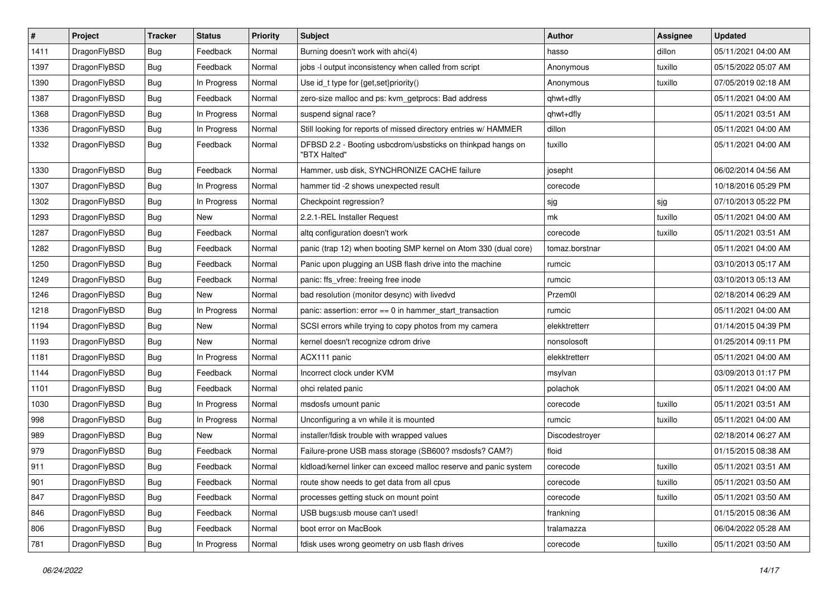| $\vert$ # | Project      | <b>Tracker</b> | <b>Status</b> | <b>Priority</b> | Subject                                                                     | <b>Author</b>  | <b>Assignee</b> | <b>Updated</b>      |
|-----------|--------------|----------------|---------------|-----------------|-----------------------------------------------------------------------------|----------------|-----------------|---------------------|
| 1411      | DragonFlyBSD | Bug            | Feedback      | Normal          | Burning doesn't work with ahci(4)                                           | hasso          | dillon          | 05/11/2021 04:00 AM |
| 1397      | DragonFlyBSD | Bug            | Feedback      | Normal          | jobs -I output inconsistency when called from script                        | Anonymous      | tuxillo         | 05/15/2022 05:07 AM |
| 1390      | DragonFlyBSD | Bug            | In Progress   | Normal          | Use id_t type for {get,set}priority()                                       | Anonymous      | tuxillo         | 07/05/2019 02:18 AM |
| 1387      | DragonFlyBSD | Bug            | Feedback      | Normal          | zero-size malloc and ps: kvm_getprocs: Bad address                          | qhwt+dfly      |                 | 05/11/2021 04:00 AM |
| 1368      | DragonFlyBSD | Bug            | In Progress   | Normal          | suspend signal race?                                                        | qhwt+dfly      |                 | 05/11/2021 03:51 AM |
| 1336      | DragonFlyBSD | <b>Bug</b>     | In Progress   | Normal          | Still looking for reports of missed directory entries w/ HAMMER             | dillon         |                 | 05/11/2021 04:00 AM |
| 1332      | DragonFlyBSD | Bug            | Feedback      | Normal          | DFBSD 2.2 - Booting usbcdrom/usbsticks on thinkpad hangs on<br>"BTX Halted" | tuxillo        |                 | 05/11/2021 04:00 AM |
| 1330      | DragonFlyBSD | Bug            | Feedback      | Normal          | Hammer, usb disk, SYNCHRONIZE CACHE failure                                 | josepht        |                 | 06/02/2014 04:56 AM |
| 1307      | DragonFlyBSD | Bug            | In Progress   | Normal          | hammer tid -2 shows unexpected result                                       | corecode       |                 | 10/18/2016 05:29 PM |
| 1302      | DragonFlyBSD | Bug            | In Progress   | Normal          | Checkpoint regression?                                                      | sjg            | sjg             | 07/10/2013 05:22 PM |
| 1293      | DragonFlyBSD | <b>Bug</b>     | New           | Normal          | 2.2.1-REL Installer Request                                                 | mk             | tuxillo         | 05/11/2021 04:00 AM |
| 1287      | DragonFlyBSD | Bug            | Feedback      | Normal          | altg configuration doesn't work                                             | corecode       | tuxillo         | 05/11/2021 03:51 AM |
| 1282      | DragonFlyBSD | <b>Bug</b>     | Feedback      | Normal          | panic (trap 12) when booting SMP kernel on Atom 330 (dual core)             | tomaz.borstnar |                 | 05/11/2021 04:00 AM |
| 1250      | DragonFlyBSD | Bug            | Feedback      | Normal          | Panic upon plugging an USB flash drive into the machine                     | rumcic         |                 | 03/10/2013 05:17 AM |
| 1249      | DragonFlyBSD | Bug            | Feedback      | Normal          | panic: ffs vfree: freeing free inode                                        | rumcic         |                 | 03/10/2013 05:13 AM |
| 1246      | DragonFlyBSD | <b>Bug</b>     | <b>New</b>    | Normal          | bad resolution (monitor desync) with livedvd                                | Przem0l        |                 | 02/18/2014 06:29 AM |
| 1218      | DragonFlyBSD | Bug            | In Progress   | Normal          | panic: assertion: $error == 0$ in hammer start transaction                  | rumcic         |                 | 05/11/2021 04:00 AM |
| 1194      | DragonFlyBSD | <b>Bug</b>     | New           | Normal          | SCSI errors while trying to copy photos from my camera                      | elekktretterr  |                 | 01/14/2015 04:39 PM |
| 1193      | DragonFlyBSD | Bug            | <b>New</b>    | Normal          | kernel doesn't recognize cdrom drive                                        | nonsolosoft    |                 | 01/25/2014 09:11 PM |
| 1181      | DragonFlyBSD | Bug            | In Progress   | Normal          | ACX111 panic                                                                | elekktretterr  |                 | 05/11/2021 04:00 AM |
| 1144      | DragonFlyBSD | Bug            | Feedback      | Normal          | Incorrect clock under KVM                                                   | msylvan        |                 | 03/09/2013 01:17 PM |
| 1101      | DragonFlyBSD | Bug            | Feedback      | Normal          | ohci related panic                                                          | polachok       |                 | 05/11/2021 04:00 AM |
| 1030      | DragonFlyBSD | <b>Bug</b>     | In Progress   | Normal          | msdosfs umount panic                                                        | corecode       | tuxillo         | 05/11/2021 03:51 AM |
| 998       | DragonFlyBSD | Bug            | In Progress   | Normal          | Unconfiguring a vn while it is mounted                                      | rumcic         | tuxillo         | 05/11/2021 04:00 AM |
| 989       | DragonFlyBSD | <b>Bug</b>     | New           | Normal          | installer/fdisk trouble with wrapped values                                 | Discodestroyer |                 | 02/18/2014 06:27 AM |
| 979       | DragonFlyBSD | <b>Bug</b>     | Feedback      | Normal          | Failure-prone USB mass storage (SB600? msdosfs? CAM?)                       | floid          |                 | 01/15/2015 08:38 AM |
| 911       | DragonFlyBSD | Bug            | Feedback      | Normal          | kldload/kernel linker can exceed malloc reserve and panic system            | corecode       | tuxillo         | 05/11/2021 03:51 AM |
| 901       | DragonFlyBSD | Bug            | Feedback      | Normal          | route show needs to get data from all cpus                                  | corecode       | tuxillo         | 05/11/2021 03:50 AM |
| 847       | DragonFlyBSD | <b>Bug</b>     | Feedback      | Normal          | processes getting stuck on mount point                                      | corecode       | tuxillo         | 05/11/2021 03:50 AM |
| 846       | DragonFlyBSD | <b>Bug</b>     | Feedback      | Normal          | USB bugs:usb mouse can't used!                                              | frankning      |                 | 01/15/2015 08:36 AM |
| 806       | DragonFlyBSD | Bug            | Feedback      | Normal          | boot error on MacBook                                                       | tralamazza     |                 | 06/04/2022 05:28 AM |
| 781       | DragonFlyBSD | <b>Bug</b>     | In Progress   | Normal          | fdisk uses wrong geometry on usb flash drives                               | corecode       | tuxillo         | 05/11/2021 03:50 AM |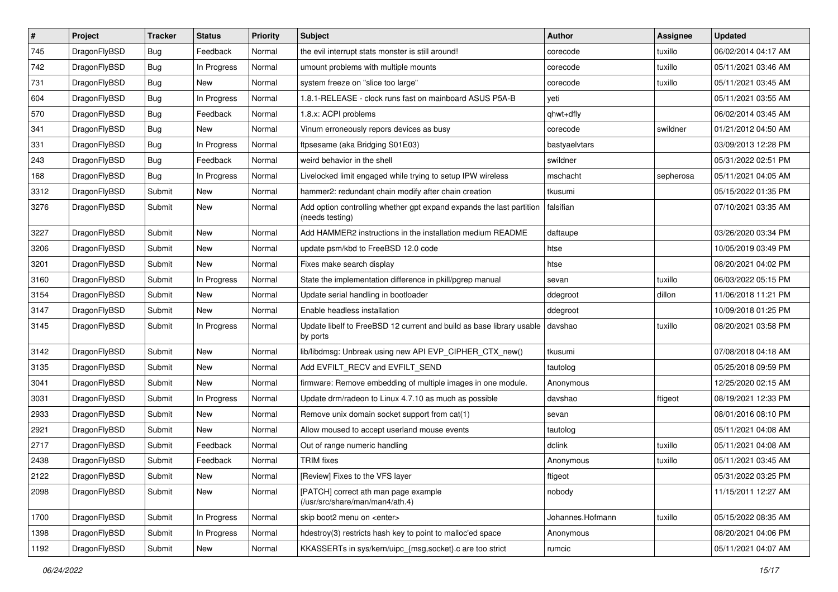| $\pmb{\#}$ | Project      | <b>Tracker</b> | <b>Status</b> | <b>Priority</b> | Subject                                                                                 | <b>Author</b>    | <b>Assignee</b> | <b>Updated</b>      |
|------------|--------------|----------------|---------------|-----------------|-----------------------------------------------------------------------------------------|------------------|-----------------|---------------------|
| 745        | DragonFlyBSD | Bug            | Feedback      | Normal          | the evil interrupt stats monster is still around!                                       | corecode         | tuxillo         | 06/02/2014 04:17 AM |
| 742        | DragonFlyBSD | Bug            | In Progress   | Normal          | umount problems with multiple mounts                                                    | corecode         | tuxillo         | 05/11/2021 03:46 AM |
| 731        | DragonFlyBSD | <b>Bug</b>     | New           | Normal          | system freeze on "slice too large"                                                      | corecode         | tuxillo         | 05/11/2021 03:45 AM |
| 604        | DragonFlyBSD | <b>Bug</b>     | In Progress   | Normal          | 1.8.1-RELEASE - clock runs fast on mainboard ASUS P5A-B                                 | yeti             |                 | 05/11/2021 03:55 AM |
| 570        | DragonFlyBSD | Bug            | Feedback      | Normal          | 1.8.x: ACPI problems                                                                    | qhwt+dfly        |                 | 06/02/2014 03:45 AM |
| 341        | DragonFlyBSD | Bug            | New           | Normal          | Vinum erroneously repors devices as busy                                                | corecode         | swildner        | 01/21/2012 04:50 AM |
| 331        | DragonFlyBSD | Bug            | In Progress   | Normal          | ftpsesame (aka Bridging S01E03)                                                         | bastyaelvtars    |                 | 03/09/2013 12:28 PM |
| 243        | DragonFlyBSD | Bug            | Feedback      | Normal          | weird behavior in the shell                                                             | swildner         |                 | 05/31/2022 02:51 PM |
| 168        | DragonFlyBSD | Bug            | In Progress   | Normal          | Livelocked limit engaged while trying to setup IPW wireless                             | mschacht         | sepherosa       | 05/11/2021 04:05 AM |
| 3312       | DragonFlyBSD | Submit         | New           | Normal          | hammer2: redundant chain modify after chain creation                                    | tkusumi          |                 | 05/15/2022 01:35 PM |
| 3276       | DragonFlyBSD | Submit         | New           | Normal          | Add option controlling whether gpt expand expands the last partition<br>(needs testing) | falsifian        |                 | 07/10/2021 03:35 AM |
| 3227       | DragonFlyBSD | Submit         | <b>New</b>    | Normal          | Add HAMMER2 instructions in the installation medium README                              | daftaupe         |                 | 03/26/2020 03:34 PM |
| 3206       | DragonFlyBSD | Submit         | New           | Normal          | update psm/kbd to FreeBSD 12.0 code                                                     | htse             |                 | 10/05/2019 03:49 PM |
| 3201       | DragonFlyBSD | Submit         | New           | Normal          | Fixes make search display                                                               | htse             |                 | 08/20/2021 04:02 PM |
| 3160       | DragonFlyBSD | Submit         | In Progress   | Normal          | State the implementation difference in pkill/pgrep manual                               | sevan            | tuxillo         | 06/03/2022 05:15 PM |
| 3154       | DragonFlyBSD | Submit         | <b>New</b>    | Normal          | Update serial handling in bootloader                                                    | ddegroot         | dillon          | 11/06/2018 11:21 PM |
| 3147       | DragonFlyBSD | Submit         | New           | Normal          | Enable headless installation                                                            | ddegroot         |                 | 10/09/2018 01:25 PM |
| 3145       | DragonFlyBSD | Submit         | In Progress   | Normal          | Update libelf to FreeBSD 12 current and build as base library usable<br>by ports        | davshao          | tuxillo         | 08/20/2021 03:58 PM |
| 3142       | DragonFlyBSD | Submit         | New           | Normal          | lib/libdmsg: Unbreak using new API EVP_CIPHER_CTX_new()                                 | tkusumi          |                 | 07/08/2018 04:18 AM |
| 3135       | DragonFlyBSD | Submit         | <b>New</b>    | Normal          | Add EVFILT_RECV and EVFILT_SEND                                                         | tautolog         |                 | 05/25/2018 09:59 PM |
| 3041       | DragonFlyBSD | Submit         | New           | Normal          | firmware: Remove embedding of multiple images in one module.                            | Anonymous        |                 | 12/25/2020 02:15 AM |
| 3031       | DragonFlyBSD | Submit         | In Progress   | Normal          | Update drm/radeon to Linux 4.7.10 as much as possible                                   | davshao          | ftigeot         | 08/19/2021 12:33 PM |
| 2933       | DragonFlyBSD | Submit         | New           | Normal          | Remove unix domain socket support from cat(1)                                           | sevan            |                 | 08/01/2016 08:10 PM |
| 2921       | DragonFlyBSD | Submit         | New           | Normal          | Allow moused to accept userland mouse events                                            | tautolog         |                 | 05/11/2021 04:08 AM |
| 2717       | DragonFlyBSD | Submit         | Feedback      | Normal          | Out of range numeric handling                                                           | dclink           | tuxillo         | 05/11/2021 04:08 AM |
| 2438       | DragonFlyBSD | Submit         | Feedback      | Normal          | <b>TRIM</b> fixes                                                                       | Anonymous        | tuxillo         | 05/11/2021 03:45 AM |
| 2122       | DragonFlyBSD | Submit         | <b>New</b>    | Normal          | [Review] Fixes to the VFS layer                                                         | ftigeot          |                 | 05/31/2022 03:25 PM |
| 2098       | DragonFlyBSD | Submit         | New           | Normal          | [PATCH] correct ath man page example<br>(/usr/src/share/man/man4/ath.4)                 | nobody           |                 | 11/15/2011 12:27 AM |
| 1700       | DragonFlyBSD | Submit         | In Progress   | Normal          | skip boot2 menu on <enter></enter>                                                      | Johannes.Hofmann | tuxillo         | 05/15/2022 08:35 AM |
| 1398       | DragonFlyBSD | Submit         | In Progress   | Normal          | hdestroy(3) restricts hash key to point to malloc'ed space                              | Anonymous        |                 | 08/20/2021 04:06 PM |
| 1192       | DragonFlyBSD | Submit         | New           | Normal          | KKASSERTs in sys/kern/uipc_{msg,socket}.c are too strict                                | rumcic           |                 | 05/11/2021 04:07 AM |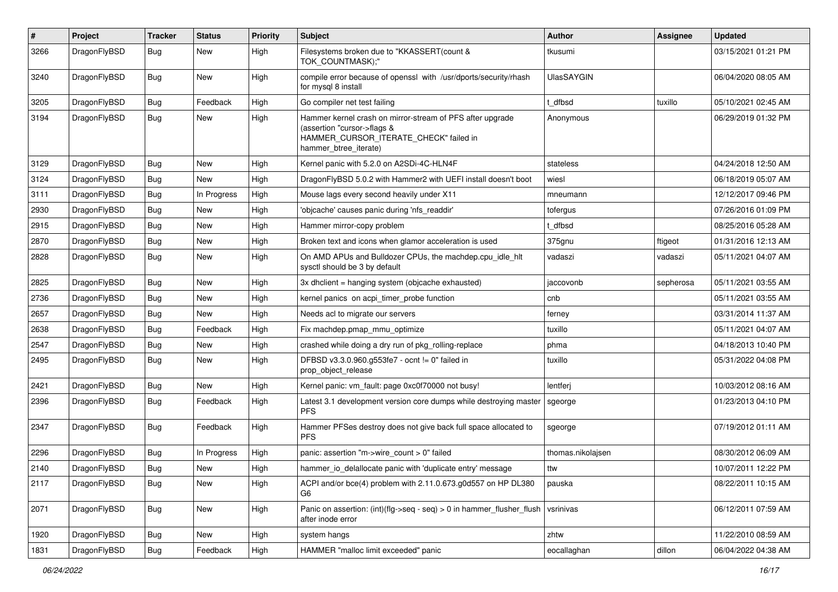| $\#$ | Project      | <b>Tracker</b> | <b>Status</b> | <b>Priority</b> | Subject                                                                                                                                                     | <b>Author</b>     | <b>Assignee</b> | <b>Updated</b>      |
|------|--------------|----------------|---------------|-----------------|-------------------------------------------------------------------------------------------------------------------------------------------------------------|-------------------|-----------------|---------------------|
| 3266 | DragonFlyBSD | Bug            | New           | High            | Filesystems broken due to "KKASSERT(count &<br>TOK_COUNTMASK);"                                                                                             | tkusumi           |                 | 03/15/2021 01:21 PM |
| 3240 | DragonFlyBSD | Bug            | <b>New</b>    | High            | compile error because of openssl with /usr/dports/security/rhash<br>for mysql 8 install                                                                     | <b>UlasSAYGIN</b> |                 | 06/04/2020 08:05 AM |
| 3205 | DragonFlyBSD | Bug            | Feedback      | High            | Go compiler net test failing                                                                                                                                | t dfbsd           | tuxillo         | 05/10/2021 02:45 AM |
| 3194 | DragonFlyBSD | Bug            | <b>New</b>    | High            | Hammer kernel crash on mirror-stream of PFS after upgrade<br>(assertion "cursor->flags &<br>HAMMER_CURSOR_ITERATE_CHECK" failed in<br>hammer btree iterate) | Anonymous         |                 | 06/29/2019 01:32 PM |
| 3129 | DragonFlyBSD | Bug            | <b>New</b>    | High            | Kernel panic with 5.2.0 on A2SDi-4C-HLN4F                                                                                                                   | stateless         |                 | 04/24/2018 12:50 AM |
| 3124 | DragonFlyBSD | Bug            | New           | High            | DragonFlyBSD 5.0.2 with Hammer2 with UEFI install doesn't boot                                                                                              | wiesl             |                 | 06/18/2019 05:07 AM |
| 3111 | DragonFlyBSD | Bug            | In Progress   | High            | Mouse lags every second heavily under X11                                                                                                                   | mneumann          |                 | 12/12/2017 09:46 PM |
| 2930 | DragonFlyBSD | Bug            | <b>New</b>    | High            | 'objcache' causes panic during 'nfs_readdir'                                                                                                                | tofergus          |                 | 07/26/2016 01:09 PM |
| 2915 | DragonFlyBSD | Bug            | New           | High            | Hammer mirror-copy problem                                                                                                                                  | t dfbsd           |                 | 08/25/2016 05:28 AM |
| 2870 | DragonFlyBSD | Bug            | <b>New</b>    | High            | Broken text and icons when glamor acceleration is used                                                                                                      | 375gnu            | ftigeot         | 01/31/2016 12:13 AM |
| 2828 | DragonFlyBSD | Bug            | New           | High            | On AMD APUs and Bulldozer CPUs, the machdep.cpu_idle_hlt<br>sysctl should be 3 by default                                                                   | vadaszi           | vadaszi         | 05/11/2021 04:07 AM |
| 2825 | DragonFlyBSD | Bug            | <b>New</b>    | High            | 3x dhclient = hanging system (objcache exhausted)                                                                                                           | jaccovonb         | sepherosa       | 05/11/2021 03:55 AM |
| 2736 | DragonFlyBSD | Bug            | New           | High            | kernel panics on acpi timer probe function                                                                                                                  | cnb               |                 | 05/11/2021 03:55 AM |
| 2657 | DragonFlyBSD | Bug            | New           | High            | Needs acl to migrate our servers                                                                                                                            | ferney            |                 | 03/31/2014 11:37 AM |
| 2638 | DragonFlyBSD | Bug            | Feedback      | High            | Fix machdep.pmap mmu optimize                                                                                                                               | tuxillo           |                 | 05/11/2021 04:07 AM |
| 2547 | DragonFlyBSD | Bug            | New           | High            | crashed while doing a dry run of pkg rolling-replace                                                                                                        | phma              |                 | 04/18/2013 10:40 PM |
| 2495 | DragonFlyBSD | <b>Bug</b>     | <b>New</b>    | High            | DFBSD v3.3.0.960.g553fe7 - ocnt != 0" failed in<br>prop object release                                                                                      | tuxillo           |                 | 05/31/2022 04:08 PM |
| 2421 | DragonFlyBSD | Bug            | New           | High            | Kernel panic: vm_fault: page 0xc0f70000 not busy!                                                                                                           | lentferj          |                 | 10/03/2012 08:16 AM |
| 2396 | DragonFlyBSD | Bug            | Feedback      | High            | Latest 3.1 development version core dumps while destroying master<br><b>PFS</b>                                                                             | sgeorge           |                 | 01/23/2013 04:10 PM |
| 2347 | DragonFlyBSD | Bug            | Feedback      | High            | Hammer PFSes destroy does not give back full space allocated to<br><b>PFS</b>                                                                               | sgeorge           |                 | 07/19/2012 01:11 AM |
| 2296 | DragonFlyBSD | Bug            | In Progress   | High            | panic: assertion "m->wire count > 0" failed                                                                                                                 | thomas.nikolajsen |                 | 08/30/2012 06:09 AM |
| 2140 | DragonFlyBSD | Bug            | <b>New</b>    | High            | hammer_io_delallocate panic with 'duplicate entry' message                                                                                                  | ttw               |                 | 10/07/2011 12:22 PM |
| 2117 | DragonFlyBSD | <b>Bug</b>     | New           | High            | ACPI and/or bce(4) problem with 2.11.0.673.g0d557 on HP DL380<br>G6                                                                                         | pauska            |                 | 08/22/2011 10:15 AM |
| 2071 | DragonFlyBSD | Bug            | <b>New</b>    | High            | Panic on assertion: $(int)(flag->seq - seq) > 0$ in hammer flusher flush<br>after inode error                                                               | vsrinivas         |                 | 06/12/2011 07:59 AM |
| 1920 | DragonFlyBSD | <b>Bug</b>     | <b>New</b>    | High            | system hangs                                                                                                                                                | zhtw              |                 | 11/22/2010 08:59 AM |
| 1831 | DragonFlyBSD | <b>Bug</b>     | Feedback      | High            | HAMMER "malloc limit exceeded" panic                                                                                                                        | eocallaghan       | dillon          | 06/04/2022 04:38 AM |